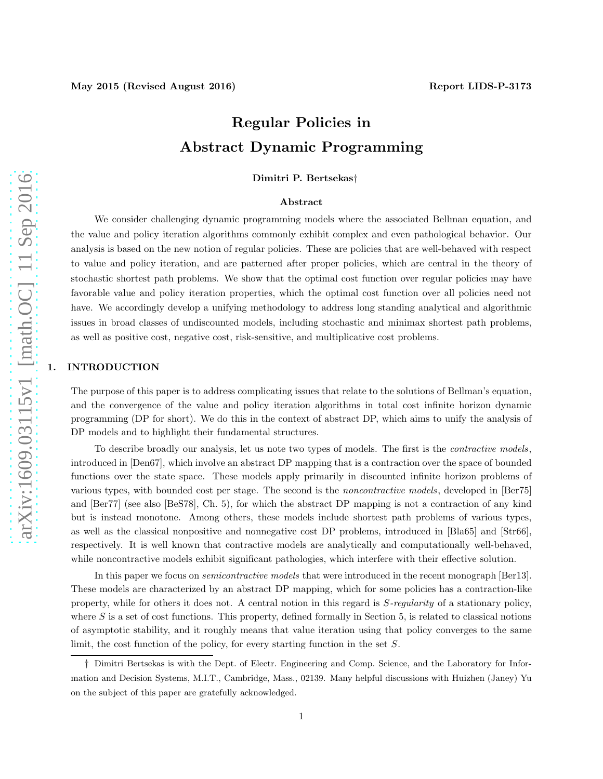# Regular Policies in Abstract Dynamic Programming

### Dimitri P. Bertsekas†

#### Abstract

We consider challenging dynamic programming models where the associated Bellman equation, and the value and policy iteration algorithms commonly exhibit complex and even pathological behavior. Our analysis is based on the new notion of regular policies. These are policies that are well-behaved with respect to value and policy iteration, and are patterned after proper policies, which are central in the theory of stochastic shortest path problems. We show that the optimal cost function over regular policies may have favorable value and policy iteration properties, which the optimal cost function over all policies need not have. We accordingly develop a unifying methodology to address long standing analytical and algorithmic issues in broad classes of undiscounted models, including stochastic and minimax shortest path problems, as well as positive cost, negative cost, risk-sensitive, and multiplicative cost problems.

## 1. INTRODUCTION

The purpose of this paper is to address complicating issues that relate to the solutions of Bellman's equation, and the convergence of the value and policy iteration algorithms in total cost infinite horizon dynamic programming (DP for short). We do this in the context of abstract DP, which aims to unify the analysis of DP models and to highlight their fundamental structures.

To describe broadly our analysis, let us note two types of models. The first is the *contractive models*. introduced in [Den67], which involve an abstract DP mapping that is a contraction over the space of bounded functions over the state space. These models apply primarily in discounted infinite horizon problems of various types, with bounded cost per stage. The second is the noncontractive models, developed in [Ber75] and [Ber77] (see also [BeS78], Ch. 5), for which the abstract DP mapping is not a contraction of any kind but is instead monotone. Among others, these models include shortest path problems of various types, as well as the classical nonpositive and nonnegative cost DP problems, introduced in [Bla65] and [Str66], respectively. It is well known that contractive models are analytically and computationally well-behaved, while noncontractive models exhibit significant pathologies, which interfere with their effective solution.

In this paper we focus on *semicontractive models* that were introduced in the recent monograph [Ber13]. These models are characterized by an abstract DP mapping, which for some policies has a contraction-like property, while for others it does not. A central notion in this regard is S-regularity of a stationary policy, where  $S$  is a set of cost functions. This property, defined formally in Section 5, is related to classical notions of asymptotic stability, and it roughly means that value iteration using that policy converges to the same limit, the cost function of the policy, for every starting function in the set S.

<sup>†</sup> Dimitri Bertsekas is with the Dept. of Electr. Engineering and Comp. Science, and the Laboratory for Information and Decision Systems, M.I.T., Cambridge, Mass., 02139. Many helpful discussions with Huizhen (Janey) Yu on the subject of this paper are gratefully acknowledged.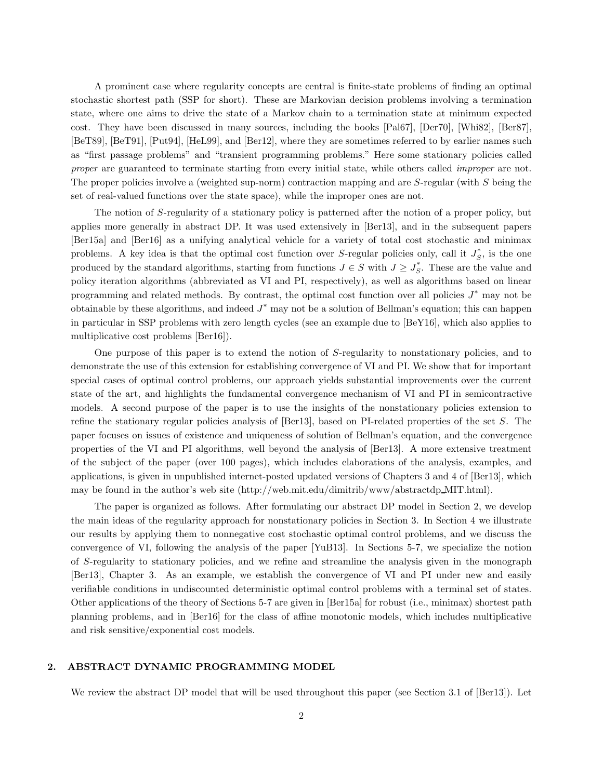A prominent case where regularity concepts are central is finite-state problems of finding an optimal stochastic shortest path (SSP for short). These are Markovian decision problems involving a termination state, where one aims to drive the state of a Markov chain to a termination state at minimum expected cost. They have been discussed in many sources, including the books [Pal67], [Der70], [Whi82], [Ber87], [BeT89], [BeT91], [Put94], [HeL99], and [Ber12], where they are sometimes referred to by earlier names such as "first passage problems" and "transient programming problems." Here some stationary policies called proper are guaranteed to terminate starting from every initial state, while others called *improper* are not. The proper policies involve a (weighted sup-norm) contraction mapping and are S-regular (with S being the set of real-valued functions over the state space), while the improper ones are not.

The notion of S-regularity of a stationary policy is patterned after the notion of a proper policy, but applies more generally in abstract DP. It was used extensively in [Ber13], and in the subsequent papers [Ber15a] and [Ber16] as a unifying analytical vehicle for a variety of total cost stochastic and minimax problems. A key idea is that the optimal cost function over S-regular policies only, call it  $J_S^*$ , is the one produced by the standard algorithms, starting from functions  $J \in S$  with  $J \geq J_{S}^{*}$ . These are the value and policy iteration algorithms (abbreviated as VI and PI, respectively), as well as algorithms based on linear programming and related methods. By contrast, the optimal cost function over all policies  $J^*$  may not be obtainable by these algorithms, and indeed  $J^*$  may not be a solution of Bellman's equation; this can happen in particular in SSP problems with zero length cycles (see an example due to [BeY16], which also applies to multiplicative cost problems [Ber16]).

One purpose of this paper is to extend the notion of S-regularity to nonstationary policies, and to demonstrate the use of this extension for establishing convergence of VI and PI. We show that for important special cases of optimal control problems, our approach yields substantial improvements over the current state of the art, and highlights the fundamental convergence mechanism of VI and PI in semicontractive models. A second purpose of the paper is to use the insights of the nonstationary policies extension to refine the stationary regular policies analysis of [Ber13], based on PI-related properties of the set S. The paper focuses on issues of existence and uniqueness of solution of Bellman's equation, and the convergence properties of the VI and PI algorithms, well beyond the analysis of [Ber13]. A more extensive treatment of the subject of the paper (over 100 pages), which includes elaborations of the analysis, examples, and applications, is given in unpublished internet-posted updated versions of Chapters 3 and 4 of [Ber13], which may be found in the author's web site (http://web.mit.edu/dimitrib/www/abstractdp MIT.html).

The paper is organized as follows. After formulating our abstract DP model in Section 2, we develop the main ideas of the regularity approach for nonstationary policies in Section 3. In Section 4 we illustrate our results by applying them to nonnegative cost stochastic optimal control problems, and we discuss the convergence of VI, following the analysis of the paper [YuB13]. In Sections 5-7, we specialize the notion of S-regularity to stationary policies, and we refine and streamline the analysis given in the monograph [Ber13], Chapter 3. As an example, we establish the convergence of VI and PI under new and easily verifiable conditions in undiscounted deterministic optimal control problems with a terminal set of states. Other applications of the theory of Sections 5-7 are given in [Ber15a] for robust (i.e., minimax) shortest path planning problems, and in [Ber16] for the class of affine monotonic models, which includes multiplicative and risk sensitive/exponential cost models.

#### 2. ABSTRACT DYNAMIC PROGRAMMING MODEL

We review the abstract DP model that will be used throughout this paper (see Section 3.1 of [Ber13]). Let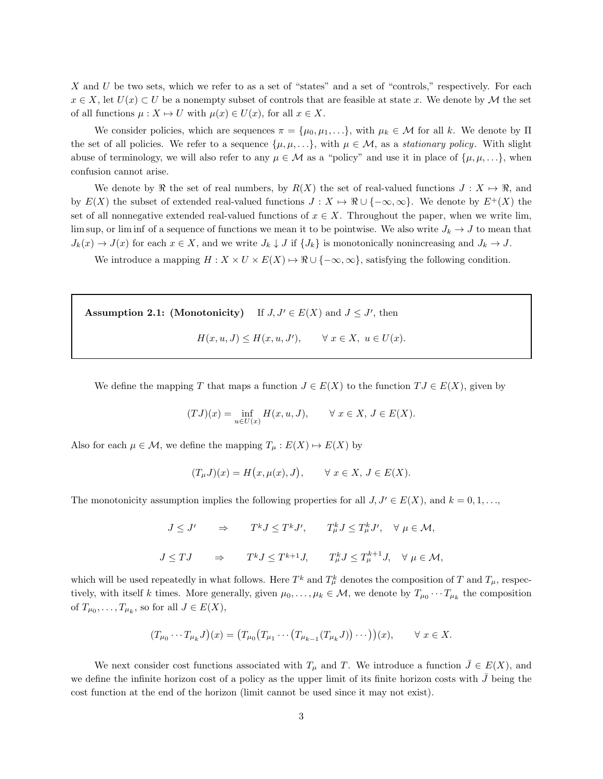X and U be two sets, which we refer to as a set of "states" and a set of "controls," respectively. For each  $x \in X$ , let  $U(x) \subset U$  be a nonempty subset of controls that are feasible at state x. We denote by M the set of all functions  $\mu: X \mapsto U$  with  $\mu(x) \in U(x)$ , for all  $x \in X$ .

We consider policies, which are sequences  $\pi = {\mu_0, \mu_1, \ldots}$ , with  $\mu_k \in \mathcal{M}$  for all k. We denote by  $\Pi$ the set of all policies. We refer to a sequence  $\{\mu, \mu, \ldots\}$ , with  $\mu \in \mathcal{M}$ , as a stationary policy. With slight abuse of terminology, we will also refer to any  $\mu \in \mathcal{M}$  as a "policy" and use it in place of  $\{\mu, \mu, \ldots\}$ , when confusion cannot arise.

We denote by  $\Re$  the set of real numbers, by  $R(X)$  the set of real-valued functions  $J: X \mapsto \Re$ , and by  $E(X)$  the subset of extended real-valued functions  $J : X \mapsto \mathbb{R} \cup \{-\infty, \infty\}$ . We denote by  $E^+(X)$  the set of all nonnegative extended real-valued functions of  $x \in X$ . Throughout the paper, when we write lim, lim sup, or lim inf of a sequence of functions we mean it to be pointwise. We also write  $J_k \to J$  to mean that  $J_k(x) \to J(x)$  for each  $x \in X$ , and we write  $J_k \downarrow J$  if  $\{J_k\}$  is monotonically nonincreasing and  $J_k \to J$ .

We introduce a mapping  $H : X \times U \times E(X) \mapsto \Re \cup \{-\infty, \infty\}$ , satisfying the following condition.

**Assumption 2.1:** (Monotonicity) If  $J, J' \in E(X)$  and  $J \leq J'$ , then

$$
H(x, u, J) \le H(x, u, J'), \qquad \forall x \in X, \ u \in U(x).
$$

We define the mapping T that maps a function  $J \in E(X)$  to the function  $TJ \in E(X)$ , given by

$$
(TJ)(x) = \inf_{u \in U(x)} H(x, u, J), \qquad \forall x \in X, J \in E(X).
$$

Also for each  $\mu \in \mathcal{M}$ , we define the mapping  $T_{\mu}: E(X) \mapsto E(X)$  by

$$
(T_{\mu}J)(x) = H(x, \mu(x), J), \qquad \forall x \in X, J \in E(X).
$$

The monotonicity assumption implies the following properties for all  $J, J' \in E(X)$ , and  $k = 0, 1, \ldots$ ,

$$
J \leq J' \qquad \Rightarrow \qquad T^k J \leq T^k J', \qquad T^k_\mu J \leq T^k_\mu J', \quad \forall \ \mu \in \mathcal{M},
$$
  

$$
J \leq TJ \qquad \Rightarrow \qquad T^k J \leq T^{k+1} J, \qquad T^k_\mu J \leq T^{k+1}_\mu J, \quad \forall \ \mu \in \mathcal{M},
$$

which will be used repeatedly in what follows. Here T<sup>k</sup> and  $T_{\mu}^{k}$  denotes the composition of T and  $T_{\mu}$ , respectively, with itself k times. More generally, given  $\mu_0, \ldots, \mu_k \in \mathcal{M}$ , we denote by  $T_{\mu_0} \cdots T_{\mu_k}$  the composition of  $T_{\mu_0}, \ldots, T_{\mu_k}$ , so for all  $J \in E(X)$ ,

$$
(T_{\mu_0} \cdots T_{\mu_k} J)(x) = (T_{\mu_0} (T_{\mu_1} \cdots (T_{\mu_{k-1}} (T_{\mu_k} J)) \cdots))(x), \qquad \forall \ x \in X.
$$

We next consider cost functions associated with  $T_{\mu}$  and T. We introduce a function  $\bar{J} \in E(X)$ , and we define the infinite horizon cost of a policy as the upper limit of its finite horizon costs with  $\bar{J}$  being the cost function at the end of the horizon (limit cannot be used since it may not exist).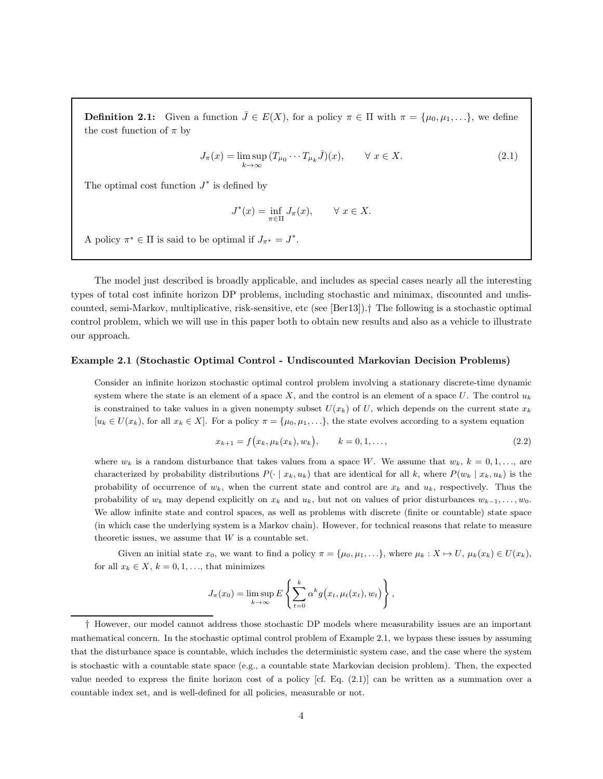**Definition 2.1:** Given a function  $\bar{J} \in E(X)$ , for a policy  $\pi \in \Pi$  with  $\pi = {\mu_0, \mu_1, \ldots}$ , we define the cost function of  $\pi$  by

$$
J_{\pi}(x) = \limsup_{k \to \infty} (T_{\mu_0} \cdots T_{\mu_k} \bar{J})(x), \qquad \forall \ x \in X.
$$
 (2.1)

The optimal cost function  $J^*$  is defined by

$$
J^*(x) = \inf_{\pi \in \Pi} J_{\pi}(x), \qquad \forall \ x \in X.
$$

A policy  $\pi^* \in \Pi$  is said to be optimal if  $J_{\pi^*} = J^*$ .

The model just described is broadly applicable, and includes as special cases nearly all the interesting types of total cost infinite horizon DP problems, including stochastic and minimax, discounted and undiscounted, semi-Markov, multiplicative, risk-sensitive, etc (see [Ber13]).† The following is a stochastic optimal control problem, which we will use in this paper both to obtain new results and also as a vehicle to illustrate our approach.

#### Example 2.1 (Stochastic Optimal Control - Undiscounted Markovian Decision Problems)

Consider an infinite horizon stochastic optimal control problem involving a stationary discrete-time dynamic system where the state is an element of a space X, and the control is an element of a space U. The control  $u_k$ is constrained to take values in a given nonempty subset  $U(x_k)$  of U, which depends on the current state  $x_k$  $[u_k \in U(x_k)$ , for all  $x_k \in X]$ . For a policy  $\pi = \{\mu_0, \mu_1, \ldots\}$ , the state evolves according to a system equation

$$
x_{k+1} = f(x_k, \mu_k(x_k), w_k), \qquad k = 0, 1, \dots,
$$
\n(2.2)

where  $w_k$  is a random disturbance that takes values from a space W. We assume that  $w_k$ ,  $k = 0, 1, \ldots$ , are characterized by probability distributions  $P(\cdot | x_k, u_k)$  that are identical for all k, where  $P(w_k | x_k, u_k)$  is the probability of occurrence of  $w_k$ , when the current state and control are  $x_k$  and  $u_k$ , respectively. Thus the probability of  $w_k$  may depend explicitly on  $x_k$  and  $u_k$ , but not on values of prior disturbances  $w_{k-1}, \ldots, w_0$ . We allow infinite state and control spaces, as well as problems with discrete (finite or countable) state space (in which case the underlying system is a Markov chain). However, for technical reasons that relate to measure theoretic issues, we assume that  $W$  is a countable set.

Given an initial state  $x_0$ , we want to find a policy  $\pi = {\mu_0, \mu_1, \ldots}$ , where  $\mu_k : X \mapsto U$ ,  $\mu_k(x_k) \in U(x_k)$ , for all  $x_k \in X$ ,  $k = 0, 1, \ldots$ , that minimizes

$$
J_{\pi}(x_0) = \limsup_{k \to \infty} E\left\{ \sum_{t=0}^k \alpha^k g(x_t, \mu_t(x_t), w_t) \right\},\,
$$

<sup>†</sup> However, our model cannot address those stochastic DP models where measurability issues are an important mathematical concern. In the stochastic optimal control problem of Example 2.1, we bypass these issues by assuming that the disturbance space is countable, which includes the deterministic system case, and the case where the system is stochastic with a countable state space (e.g., a countable state Markovian decision problem). Then, the expected value needed to express the finite horizon cost of a policy [cf. Eq. (2.1)] can be written as a summation over a countable index set, and is well-defined for all policies, measurable or not.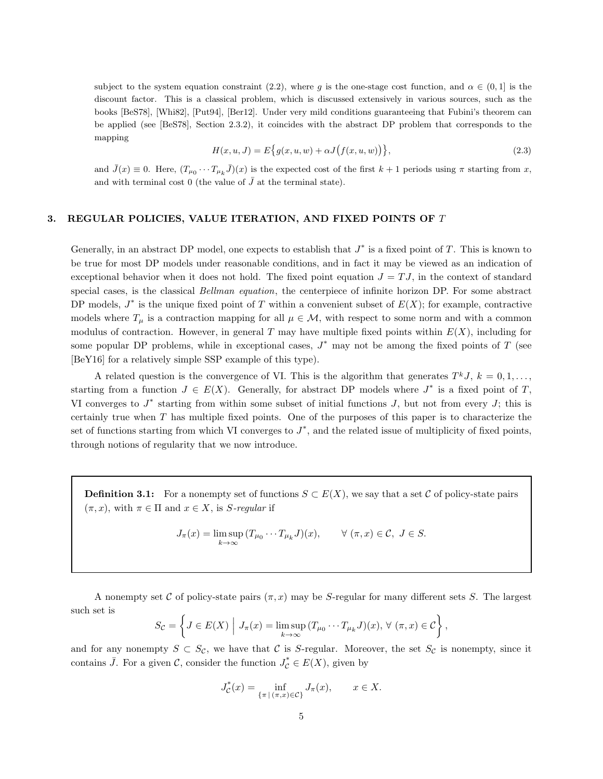subject to the system equation constraint (2.2), where g is the one-stage cost function, and  $\alpha \in (0,1]$  is the discount factor. This is a classical problem, which is discussed extensively in various sources, such as the books [BeS78], [Whi82], [Put94], [Ber12]. Under very mild conditions guaranteeing that Fubini's theorem can be applied (see [BeS78], Section 2.3.2), it coincides with the abstract DP problem that corresponds to the mapping

$$
H(x, u, J) = E\{g(x, u, w) + \alpha J(f(x, u, w))\},\tag{2.3}
$$

and  $\bar{J}(x) \equiv 0$ . Here,  $(T_{\mu_0} \cdots T_{\mu_k} \bar{J})(x)$  is the expected cost of the first  $k+1$  periods using  $\pi$  starting from x, and with terminal cost 0 (the value of  $\bar{J}$  at the terminal state).

## 3. REGULAR POLICIES, VALUE ITERATION, AND FIXED POINTS OF T

Generally, in an abstract DP model, one expects to establish that  $J^*$  is a fixed point of T. This is known to be true for most DP models under reasonable conditions, and in fact it may be viewed as an indication of exceptional behavior when it does not hold. The fixed point equation  $J = TJ$ , in the context of standard special cases, is the classical *Bellman equation*, the centerpiece of infinite horizon DP. For some abstract DP models,  $J^*$  is the unique fixed point of T within a convenient subset of  $E(X)$ ; for example, contractive models where  $T_{\mu}$  is a contraction mapping for all  $\mu \in M$ , with respect to some norm and with a common modulus of contraction. However, in general T may have multiple fixed points within  $E(X)$ , including for some popular DP problems, while in exceptional cases,  $J^*$  may not be among the fixed points of T (see [BeY16] for a relatively simple SSP example of this type).

A related question is the convergence of VI. This is the algorithm that generates  $T^k J$ ,  $k = 0, 1, \ldots$ , starting from a function  $J \in E(X)$ . Generally, for abstract DP models where  $J^*$  is a fixed point of T, VI converges to  $J^*$  starting from within some subset of initial functions J, but not from every J; this is certainly true when  $T$  has multiple fixed points. One of the purposes of this paper is to characterize the set of functions starting from which VI converges to  $J^*$ , and the related issue of multiplicity of fixed points, through notions of regularity that we now introduce.

**Definition 3.1:** For a nonempty set of functions  $S \subset E(X)$ , we say that a set C of policy-state pairs  $(\pi, x)$ , with  $\pi \in \Pi$  and  $x \in X$ , is *S*-regular if

$$
J_{\pi}(x) = \limsup_{k \to \infty} (T_{\mu_0} \cdots T_{\mu_k} J)(x), \qquad \forall (\pi, x) \in \mathcal{C}, J \in S.
$$

A nonempty set C of policy-state pairs  $(\pi, x)$  may be S-regular for many different sets S. The largest such set is

$$
S_{\mathcal{C}} = \left\{ J \in E(X) \mid J_{\pi}(x) = \limsup_{k \to \infty} (T_{\mu_0} \cdots T_{\mu_k} J)(x), \forall (\pi, x) \in \mathcal{C} \right\},\
$$

and for any nonempty  $S \subset S_{\mathcal{C}}$ , we have that C is S-regular. Moreover, the set  $S_{\mathcal{C}}$  is nonempty, since it contains  $\bar{J}$ . For a given  $\mathcal{C}$ , consider the function  $J_{\mathcal{C}}^* \in E(X)$ , given by

$$
J_{\mathcal{C}}^*(x) = \inf_{\{\pi \mid (\pi, x) \in \mathcal{C}\}} J_{\pi}(x), \qquad x \in X.
$$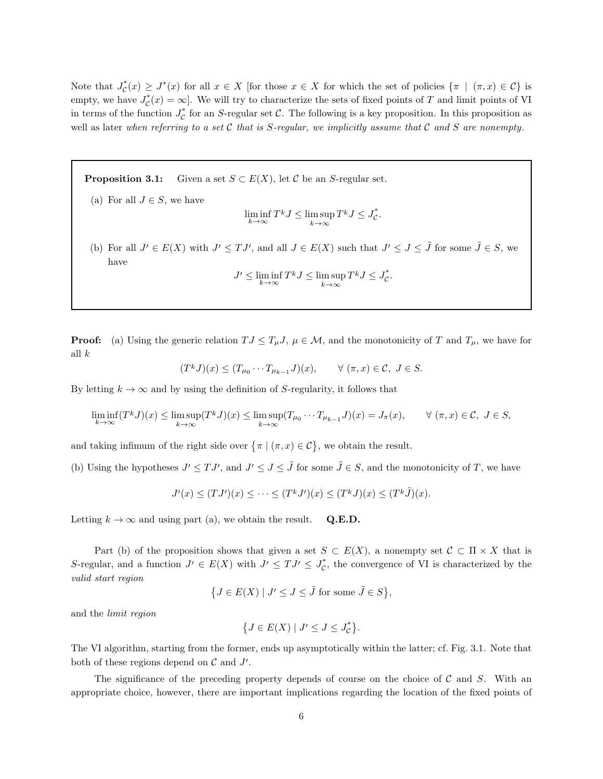Note that  $J_{\mathcal{C}}^*(x) \geq J^*(x)$  for all  $x \in X$  [for those  $x \in X$  for which the set of policies  $\{\pi \mid (\pi, x) \in \mathcal{C}\}\$ is empty, we have  $J_{\mathcal{C}}^*(x) = \infty$ . We will try to characterize the sets of fixed points of T and limit points of VI in terms of the function  $J_{\mathcal{C}}^*$  for an S-regular set C. The following is a key proposition. In this proposition as well as later when referring to a set C that is S-regular, we implicitly assume that C and S are nonempty.

**Proposition 3.1:** Given a set  $S \subset E(X)$ , let C be an S-regular set.

(a) For all  $J \in S$ , we have

$$
\liminf_{k \to \infty} T^k J \le \limsup_{k \to \infty} T^k J \le J_{\mathcal{C}}^*.
$$

(b) For all  $J' \in E(X)$  with  $J' \leq T J'$ , and all  $J \in E(X)$  such that  $J' \leq J \leq \tilde{J}$  for some  $\tilde{J} \in S$ , we have

$$
J' \le \liminf_{k \to \infty} T^k J \le \limsup_{k \to \infty} T^k J \le J_{\mathcal{C}}^*.
$$

**Proof:** (a) Using the generic relation  $T J \leq T_{\mu} J$ ,  $\mu \in M$ , and the monotonicity of T and  $T_{\mu}$ , we have for all  $k$ 

$$
(T^kJ)(x)\leq (T_{\mu_0}\cdots T_{\mu_{k-1}}J)(x),\qquad \forall\ (\pi,x)\in\mathcal{C},\ J\in S.
$$

By letting  $k \to \infty$  and by using the definition of S-regularity, it follows that

$$
\liminf_{k \to \infty} (T^k J)(x) \le \limsup_{k \to \infty} (T^k J)(x) \le \limsup_{k \to \infty} (T_{\mu_0} \cdots T_{\mu_{k-1}} J)(x) = J_{\pi}(x), \qquad \forall (\pi, x) \in \mathcal{C}, J \in S,
$$

and taking infimum of the right side over  $\{\pi \mid (\pi, x) \in \mathcal{C}\}\,$ , we obtain the result.

(b) Using the hypotheses  $J' \leq T J'$ , and  $J' \leq J \leq \tilde{J}$  for some  $\tilde{J} \in S$ , and the monotonicity of T, we have

$$
J'(x) \le (T J')(x) \le \dots \le (T^k J')(x) \le (T^k J)(x) \le (T^k \tilde{J})(x).
$$

Letting  $k \to \infty$  and using part (a), we obtain the result. Q.E.D.

Part (b) of the proposition shows that given a set  $S \subset E(X)$ , a nonempty set  $C \subset \Pi \times X$  that is S-regular, and a function  $J' \in E(X)$  with  $J' \leq TJ' \leq J_{\mathcal{C}}^*$ , the convergence of VI is characterized by the valid start region

$$
\big\{J \in E(X) \mid J' \le J \le \tilde{J} \text{ for some } \tilde{J} \in S\big\},\
$$

and the limit region

$$
\big\{J\in E(X)\mid J'\leq J\leq J_{\mathcal{C}}^*\big\}.
$$

The VI algorithm, starting from the former, ends up asymptotically within the latter; cf. Fig. 3.1. Note that both of these regions depend on  $\mathcal C$  and  $J'$ .

The significance of the preceding property depends of course on the choice of  $\mathcal C$  and  $S$ . With an appropriate choice, however, there are important implications regarding the location of the fixed points of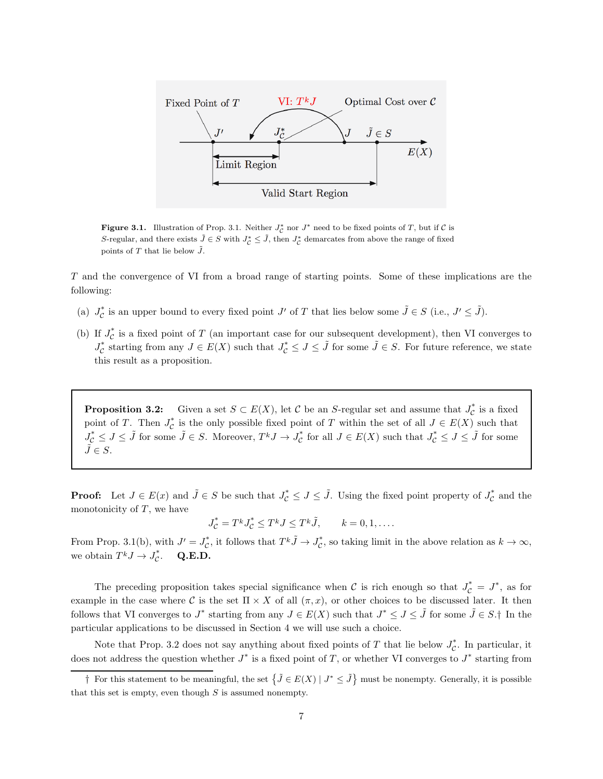

**Figure 3.1.** Illustration of Prop. 3.1. Neither  $J_{\mathcal{C}}^*$  nor  $J^*$  need to be fixed points of T, but if C is S-regular, and there exists  $\tilde{J} \in S$  with  $J_{\mathcal{C}}^* \leq \tilde{J}$ , then  $J_{\mathcal{C}}^*$  demarcates from above the range of fixed points of T that lie below  $\tilde{J}$ .

T and the convergence of VI from a broad range of starting points. Some of these implications are the following:

- (a)  $J_{\mathcal{C}}^*$  is an upper bound to every fixed point  $J'$  of  $T$  that lies below some  $\tilde{J} \in S$  (i.e.,  $J' \leq \tilde{J}$ ).
- (b) If  $J_{\mathcal{C}}^*$  is a fixed point of T (an important case for our subsequent development), then VI converges to  $J_{\mathcal{C}}^*$  starting from any  $J \in E(X)$  such that  $J_{\mathcal{C}}^* \leq J \leq \tilde{J}$  for some  $\tilde{J} \in S$ . For future reference, we state this result as a proposition.

**Proposition 3.2:** Given a set  $S \subset E(X)$ , let C be an S-regular set and assume that  $J_C^*$  is a fixed point of T. Then  $J_{\mathcal{C}}^*$  is the only possible fixed point of T within the set of all  $J \in E(X)$  such that  $J_{\mathcal{C}}^* \leq J \leq \tilde{J}$  for some  $\tilde{J} \in S$ . Moreover,  $T^k J \to J_{\mathcal{C}}^*$  for all  $J \in E(X)$  such that  $J_{\mathcal{C}}^* \leq J \leq \tilde{J}$  for some  $\tilde{J} \in S$ .

**Proof:** Let  $J \in E(x)$  and  $\tilde{J} \in S$  be such that  $J_{\mathcal{C}}^* \leq J \leq \tilde{J}$ . Using the fixed point property of  $J_{\mathcal{C}}^*$  and the monotonicity of  $T$ , we have

$$
J_{\mathcal{C}}^* = T^k J_{\mathcal{C}}^* \le T^k J \le T^k \tilde{J}, \qquad k = 0, 1, \dots.
$$

From Prop. 3.1(b), with  $J' = J_{\mathcal{C}}^*$ , it follows that  $T^k \tilde{J} \to J_{\mathcal{C}}^*$ , so taking limit in the above relation as  $k \to \infty$ , we obtain  $T^k J \to J_{\mathcal{C}}^*$ . Q.E.D.

The preceding proposition takes special significance when C is rich enough so that  $J_{\mathcal{C}}^* = J^*$ , as for example in the case where C is the set  $\Pi \times X$  of all  $(\pi, x)$ , or other choices to be discussed later. It then follows that VI converges to  $J^*$  starting from any  $J \in E(X)$  such that  $J^* \leq J \leq \tilde{J}$  for some  $\tilde{J} \in S$ .† In the particular applications to be discussed in Section 4 we will use such a choice.

Note that Prop. 3.2 does not say anything about fixed points of T that lie below  $J_{\mathcal{C}}^*$ . In particular, it does not address the question whether  $J^*$  is a fixed point of T, or whether VI converges to  $J^*$  starting from

<sup>†</sup> For this statement to be meaningful, the set  $\{ \tilde{J} \in E(X) \mid J^* \leq \tilde{J} \}$  must be nonempty. Generally, it is possible that this set is empty, even though  $S$  is assumed nonempty.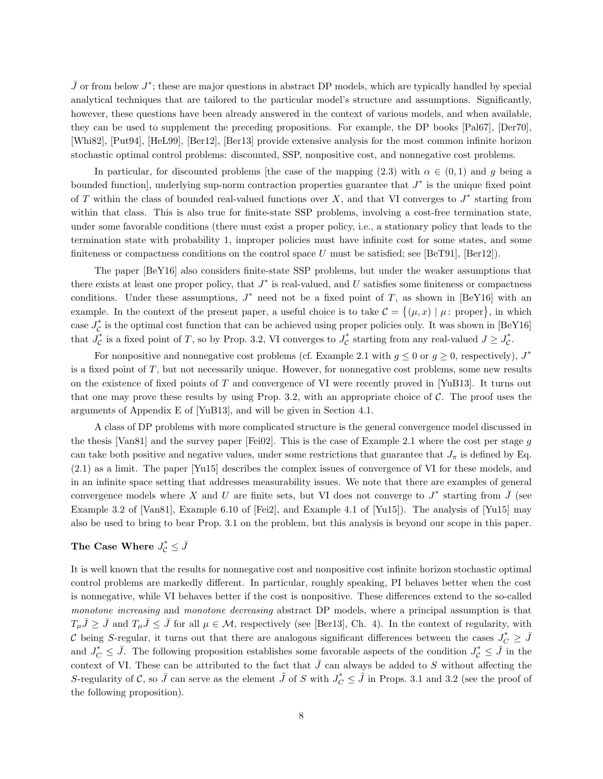$\bar{J}$  or from below  $J^*$ ; these are major questions in abstract DP models, which are typically handled by special analytical techniques that are tailored to the particular model's structure and assumptions. Significantly, however, these questions have been already answered in the context of various models, and when available, they can be used to supplement the preceding propositions. For example, the DP books [Pal67], [Der70], [Whi82], [Put94], [HeL99], [Ber12], [Ber13] provide extensive analysis for the most common infinite horizon stochastic optimal control problems: discounted, SSP, nonpositive cost, and nonnegative cost problems.

In particular, for discounted problems [the case of the mapping (2.3) with  $\alpha \in (0,1)$  and g being a bounded function], underlying sup-norm contraction properties guarantee that  $J^*$  is the unique fixed point of T within the class of bounded real-valued functions over X, and that VI converges to  $J^*$  starting from within that class. This is also true for finite-state SSP problems, involving a cost-free termination state, under some favorable conditions (there must exist a proper policy, i.e., a stationary policy that leads to the termination state with probability 1, improper policies must have infinite cost for some states, and some finiteness or compactness conditions on the control space U must be satisfied; see [BeT91], [Ber12]).

The paper [BeY16] also considers finite-state SSP problems, but under the weaker assumptions that there exists at least one proper policy, that  $J^*$  is real-valued, and U satisfies some finiteness or compactness conditions. Under these assumptions,  $J^*$  need not be a fixed point of T, as shown in [BeY16] with an example. In the context of the present paper, a useful choice is to take  $\mathcal{C} = \{(\mu, x) | \mu : \text{proper}\},\$ in which case  $J_{\mathcal{C}}^*$  is the optimal cost function that can be achieved using proper policies only. It was shown in [BeY16] that  $J_{\mathcal{C}}^*$  is a fixed point of T, so by Prop. 3.2, VI converges to  $J_{\mathcal{C}}^*$  starting from any real-valued  $J \geq J_{\mathcal{C}}^*$ .

For nonpositive and nonnegative cost problems (cf. Example 2.1 with  $g \leq 0$  or  $g \geq 0$ , respectively),  $J^*$ is a fixed point of  $T$ , but not necessarily unique. However, for nonnegative cost problems, some new results on the existence of fixed points of  $T$  and convergence of VI were recently proved in [YuB13]. It turns out that one may prove these results by using Prop. 3.2, with an appropriate choice of  $\mathcal{C}$ . The proof uses the arguments of Appendix E of [YuB13], and will be given in Section 4.1.

A class of DP problems with more complicated structure is the general convergence model discussed in the thesis [Van81] and the survey paper [Fei02]. This is the case of Example 2.1 where the cost per stage g can take both positive and negative values, under some restrictions that guarantee that  $J_{\pi}$  is defined by Eq. (2.1) as a limit. The paper [Yu15] describes the complex issues of convergence of VI for these models, and in an infinite space setting that addresses measurability issues. We note that there are examples of general convergence models where X and U are finite sets, but VI does not converge to  $J^*$  starting from J (see Example 3.2 of [Van81], Example 6.10 of [Fei2], and Example 4.1 of [Yu15]). The analysis of [Yu15] may also be used to bring to bear Prop. 3.1 on the problem, but this analysis is beyond our scope in this paper.

# The Case Where  $J_{\mathcal{C}}^* \leq \bar{J}$

It is well known that the results for nonnegative cost and nonpositive cost infinite horizon stochastic optimal control problems are markedly different. In particular, roughly speaking, PI behaves better when the cost is nonnegative, while VI behaves better if the cost is nonpositive. These differences extend to the so-called monotone increasing and monotone decreasing abstract DP models, where a principal assumption is that  $T_{\mu}J \geq \bar{J}$  and  $T_{\mu}J \leq \bar{J}$  for all  $\mu \in M$ , respectively (see [Ber13], Ch. 4). In the context of regularity, with C being S-regular, it turns out that there are analogous significant differences between the cases  $J_C^* \ge \bar{J}$ and  $J_C^* \leq \bar{J}$ . The following proposition establishes some favorable aspects of the condition  $J_C^* \leq \bar{J}$  in the context of VI. These can be attributed to the fact that  $\bar{J}$  can always be added to S without affecting the S-regularity of C, so  $\bar{J}$  can serve as the element  $\tilde{J}$  of S with  $J_C^* \leq \tilde{J}$  in Props. 3.1 and 3.2 (see the proof of the following proposition).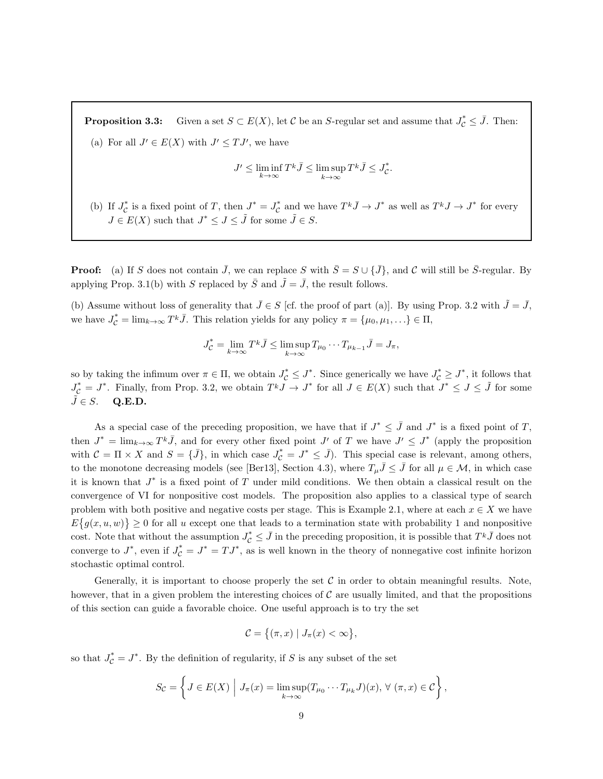**Proposition 3.3:** Given a set  $S \subset E(X)$ , let C be an S-regular set and assume that  $J_{\mathcal{C}}^* \leq \overline{J}$ . Then:

(a) For all  $J' \in E(X)$  with  $J' \leq TJ'$ , we have

$$
J'\leq \liminf_{k\to\infty} T^k\bar J\leq \limsup_{k\to\infty} T^k\bar J\leq J_{\mathcal C}^*.
$$

(b) If  $J_{\mathcal{C}}^*$  is a fixed point of T, then  $J^* = J_{\mathcal{C}}^*$  and we have  $T^k \overline{J} \to J^*$  as well as  $T^k J \to J^*$  for every  $J \in E(X)$  such that  $J^* \leq J \leq \tilde{J}$  for some  $\tilde{J} \in S$ .

**Proof:** (a) If S does not contain  $\bar{J}$ , we can replace S with  $\bar{S} = S \cup \{\bar{J}\}\$ , and C will still be  $\bar{S}$ -regular. By applying Prop. 3.1(b) with S replaced by  $\overline{S}$  and  $\overline{J} = \overline{J}$ , the result follows.

(b) Assume without loss of generality that  $\bar{J} \in S$  [cf. the proof of part (a)]. By using Prop. 3.2 with  $\tilde{J} = \bar{J}$ , we have  $J_{\mathcal{C}}^* = \lim_{k \to \infty} T^k \overline{J}$ . This relation yields for any policy  $\pi = {\mu_0, \mu_1, \ldots} \in \Pi$ ,

$$
J_{\mathcal{C}}^* = \lim_{k \to \infty} T^k \bar{J} \le \limsup_{k \to \infty} T_{\mu_0} \cdots T_{\mu_{k-1}} \bar{J} = J_{\pi},
$$

so by taking the infimum over  $\pi \in \Pi$ , we obtain  $J_{\mathcal{C}}^* \leq J^*$ . Since generically we have  $J_{\mathcal{C}}^* \geq J^*$ , it follows that  $J_{\mathcal{C}}^* = J^*$ . Finally, from Prop. 3.2, we obtain  $T^k J \to J^*$  for all  $J \in E(X)$  such that  $J^* \leq J \leq \tilde{J}$  for some  $\tilde{J} \in S$ . Q.E.D.

As a special case of the preceding proposition, we have that if  $J^* \leq \bar{J}$  and  $J^*$  is a fixed point of T, then  $J^* = \lim_{k\to\infty} T^k \overline{J}$ , and for every other fixed point  $J'$  of T we have  $J' \leq J^*$  (apply the proposition with  $C = \Pi \times X$  and  $S = \{\bar{J}\}\$ , in which case  $J_{\mathcal{C}}^* = J^* \leq \bar{J}$ . This special case is relevant, among others, to the monotone decreasing models (see [Ber13], Section 4.3), where  $T_{\mu}J \leq J$  for all  $\mu \in \mathcal{M}$ , in which case it is known that  $J^*$  is a fixed point of T under mild conditions. We then obtain a classical result on the convergence of VI for nonpositive cost models. The proposition also applies to a classical type of search problem with both positive and negative costs per stage. This is Example 2.1, where at each  $x \in X$  we have  $E\{g(x, u, w)\}\geq 0$  for all u except one that leads to a termination state with probability 1 and nonpositive cost. Note that without the assumption  $J_{\mathcal{C}}^* \leq \bar{J}$  in the preceding proposition, it is possible that  $T^k \bar{J}$  does not converge to  $J^*$ , even if  $J_{\mathcal{C}}^* = J^* = TJ^*$ , as is well known in the theory of nonnegative cost infinite horizon stochastic optimal control.

Generally, it is important to choose properly the set  $\mathcal C$  in order to obtain meaningful results. Note, however, that in a given problem the interesting choices of  $\mathcal C$  are usually limited, and that the propositions of this section can guide a favorable choice. One useful approach is to try the set

$$
\mathcal{C} = \{ (\pi, x) \mid J_\pi(x) < \infty \},
$$

so that  $J_{\mathcal{C}}^* = J^*$ . By the definition of regularity, if S is any subset of the set

$$
S_{\mathcal{C}} = \left\{ J \in E(X) \mid J_{\pi}(x) = \limsup_{k \to \infty} (T_{\mu_0} \cdots T_{\mu_k} J)(x), \forall (\pi, x) \in \mathcal{C} \right\},\
$$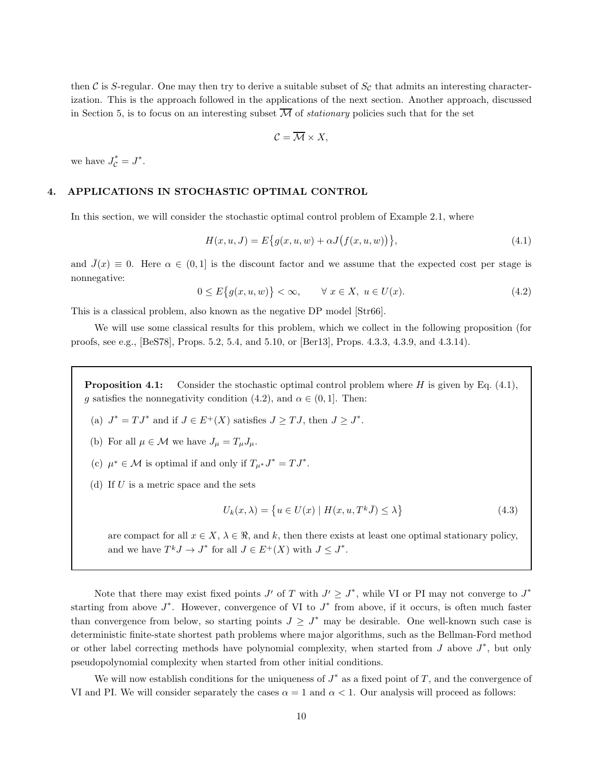then C is S-regular. One may then try to derive a suitable subset of  $S_c$  that admits an interesting characterization. This is the approach followed in the applications of the next section. Another approach, discussed in Section 5, is to focus on an interesting subset  $\overline{\mathcal{M}}$  of *stationary* policies such that for the set

$$
\mathcal{C}=\overline{\mathcal{M}}\times X,
$$

we have  $J_{\mathcal{C}}^* = J^*$ .

#### 4. APPLICATIONS IN STOCHASTIC OPTIMAL CONTROL

In this section, we will consider the stochastic optimal control problem of Example 2.1, where

$$
H(x, u, J) = E\{g(x, u, w) + \alpha J(f(x, u, w))\},\tag{4.1}
$$

and  $\bar{J}(x) \equiv 0$ . Here  $\alpha \in (0,1]$  is the discount factor and we assume that the expected cost per stage is nonnegative:

$$
0 \le E\{g(x, u, w)\} < \infty, \qquad \forall \ x \in X, \ u \in U(x). \tag{4.2}
$$

This is a classical problem, also known as the negative DP model [Str66].

We will use some classical results for this problem, which we collect in the following proposition (for proofs, see e.g., [BeS78], Props. 5.2, 5.4, and 5.10, or [Ber13], Props. 4.3.3, 4.3.9, and 4.3.14).

**Proposition 4.1:** Consider the stochastic optimal control problem where  $H$  is given by Eq. (4.1), g satisfies the nonnegativity condition (4.2), and  $\alpha \in (0, 1]$ . Then:

- (a)  $J^* = TJ^*$  and if  $J \in E^+(X)$  satisfies  $J \geq TJ$ , then  $J \geq J^*$ .
- (b) For all  $\mu \in \mathcal{M}$  we have  $J_{\mu} = T_{\mu} J_{\mu}$ .
- (c)  $\mu^* \in \mathcal{M}$  is optimal if and only if  $T_{\mu^*} J^* = T J^*$ .
- (d) If  $U$  is a metric space and the sets

$$
U_k(x,\lambda) = \left\{ u \in U(x) \mid H(x,u,T^k \bar{J}) \le \lambda \right\}
$$
\n
$$
(4.3)
$$

are compact for all  $x \in X$ ,  $\lambda \in \mathcal{R}$ , and k, then there exists at least one optimal stationary policy, and we have  $T^k J \to J^*$  for all  $J \in E^+(X)$  with  $J \leq J^*$ .

Note that there may exist fixed points J' of T with  $J' \geq J^*$ , while VI or PI may not converge to  $J^*$ starting from above  $J^*$ . However, convergence of VI to  $J^*$  from above, if it occurs, is often much faster than convergence from below, so starting points  $J \geq J^*$  may be desirable. One well-known such case is deterministic finite-state shortest path problems where major algorithms, such as the Bellman-Ford method or other label correcting methods have polynomial complexity, when started from  $J$  above  $J^*$ , but only pseudopolynomial complexity when started from other initial conditions.

We will now establish conditions for the uniqueness of  $J^*$  as a fixed point of T, and the convergence of VI and PI. We will consider separately the cases  $\alpha = 1$  and  $\alpha < 1$ . Our analysis will proceed as follows: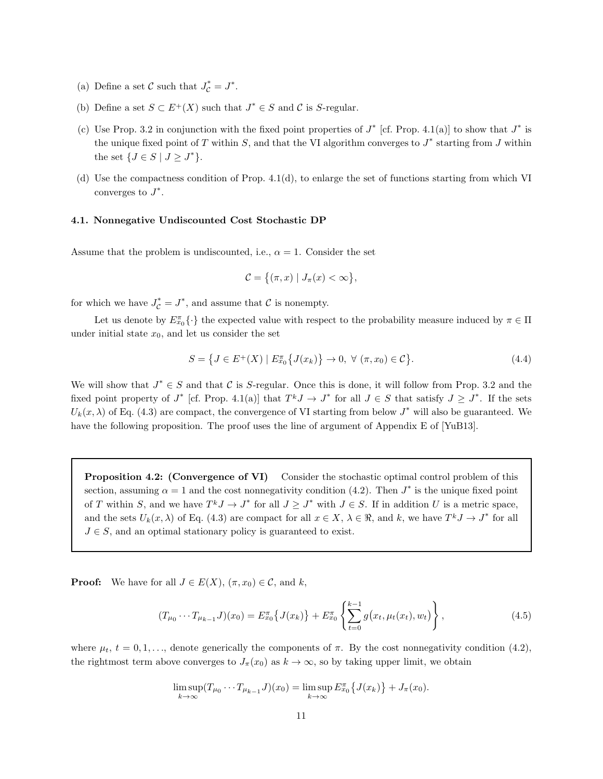- (a) Define a set  $\mathcal{C}$  such that  $J_{\mathcal{C}}^* = J^*$ .
- (b) Define a set  $S \subset E^+(X)$  such that  $J^* \in S$  and  $\mathcal C$  is S-regular.
- (c) Use Prop. 3.2 in conjunction with the fixed point properties of  $J^*$  [cf. Prop. 4.1(a)] to show that  $J^*$  is the unique fixed point of T within S, and that the VI algorithm converges to  $J^*$  starting from J within the set  $\{J \in S \mid J \geq J^*\}.$
- (d) Use the compactness condition of Prop. 4.1(d), to enlarge the set of functions starting from which VI converges to  $J^*$ .

#### 4.1. Nonnegative Undiscounted Cost Stochastic DP

Assume that the problem is undiscounted, i.e.,  $\alpha = 1$ . Consider the set

$$
\mathcal{C} = \{ (\pi, x) \mid J_\pi(x) < \infty \},
$$

for which we have  $J_{\mathcal{C}}^* = J^*$ , and assume that  $\mathcal{C}$  is nonempty.

Let us denote by  $E_{x_0}^{\pi} \{\cdot\}$  the expected value with respect to the probability measure induced by  $\pi \in \Pi$ under initial state  $x_0$ , and let us consider the set

$$
S = \{ J \in E^+(X) \mid E_{x_0}^{\pi} \{ J(x_k) \} \to 0, \ \forall \ (\pi, x_0) \in \mathcal{C} \}.
$$
 (4.4)

We will show that  $J^* \in S$  and that C is S-regular. Once this is done, it will follow from Prop. 3.2 and the fixed point property of  $J^*$  [cf. Prop. 4.1(a)] that  $T^kJ \to J^*$  for all  $J \in S$  that satisfy  $J \geq J^*$ . If the sets  $U_k(x, \lambda)$  of Eq. (4.3) are compact, the convergence of VI starting from below  $J^*$  will also be guaranteed. We have the following proposition. The proof uses the line of argument of Appendix E of [YuB13].

**Proposition 4.2: (Convergence of VI)** Consider the stochastic optimal control problem of this section, assuming  $\alpha = 1$  and the cost nonnegativity condition (4.2). Then  $J^*$  is the unique fixed point of T within S, and we have  $T^k J \to J^*$  for all  $J \geq J^*$  with  $J \in S$ . If in addition U is a metric space, and the sets  $U_k(x, \lambda)$  of Eq. (4.3) are compact for all  $x \in X$ ,  $\lambda \in \Re$ , and k, we have  $T^k J \to J^*$  for all  $J \in S$ , and an optimal stationary policy is guaranteed to exist.

**Proof:** We have for all  $J \in E(X)$ ,  $(\pi, x_0) \in \mathcal{C}$ , and k,

$$
(T_{\mu_0} \cdots T_{\mu_{k-1}} J)(x_0) = E_{x_0}^{\pi} \{ J(x_k) \} + E_{x_0}^{\pi} \left\{ \sum_{t=0}^{k-1} g(x_t, \mu_t(x_t), w_t) \right\},
$$
\n(4.5)

where  $\mu_t$ ,  $t = 0, 1, \ldots$ , denote generically the components of  $\pi$ . By the cost nonnegativity condition (4.2), the rightmost term above converges to  $J_\pi(x_0)$  as  $k \to \infty$ , so by taking upper limit, we obtain

$$
\limsup_{k \to \infty} (T_{\mu_0} \cdots T_{\mu_{k-1}} J)(x_0) = \limsup_{k \to \infty} E_{x_0}^{\pi} \{ J(x_k) \} + J_{\pi}(x_0).
$$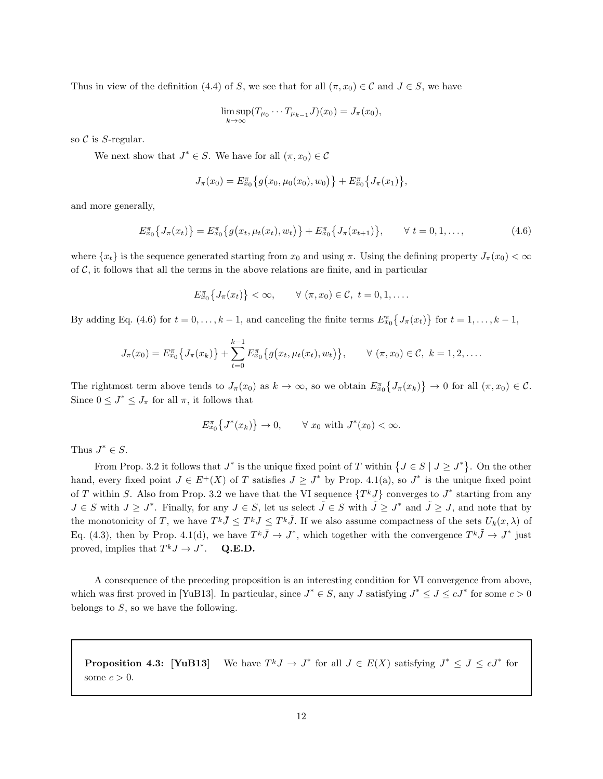Thus in view of the definition (4.4) of S, we see that for all  $(\pi, x_0) \in \mathcal{C}$  and  $J \in S$ , we have

$$
\limsup_{k \to \infty} (T_{\mu_0} \cdots T_{\mu_{k-1}} J)(x_0) = J_\pi(x_0),
$$

so  $C$  is S-regular.

We next show that  $J^* \in S$ . We have for all  $(\pi, x_0) \in \mathcal{C}$ 

$$
J_{\pi}(x_0) = E_{x_0}^{\pi} \big\{ g(x_0, \mu_0(x_0), w_0) \big\} + E_{x_0}^{\pi} \big\{ J_{\pi}(x_1) \big\},
$$

and more generally,

$$
E_{x_0}^{\pi} \{ J_{\pi}(x_t) \} = E_{x_0}^{\pi} \{ g(x_t, \mu_t(x_t), w_t) \} + E_{x_0}^{\pi} \{ J_{\pi}(x_{t+1}) \}, \qquad \forall \ t = 0, 1, ..., \tag{4.6}
$$

where  ${x_t}$  is the sequence generated starting from  $x_0$  and using  $\pi$ . Using the defining property  $J_\pi(x_0) < \infty$ of  $\mathcal{C}$ , it follows that all the terms in the above relations are finite, and in particular

$$
E_{x_0}^{\pi} \big\{ J_{\pi}(x_t) \big\} < \infty, \qquad \forall \ (\pi, x_0) \in \mathcal{C}, \ t = 0, 1, \ldots.
$$

By adding Eq. (4.6) for  $t = 0, \ldots, k - 1$ , and canceling the finite terms  $E_{x_0}^{\pi} \big\{ J_{\pi}(x_t) \big\}$  for  $t = 1, \ldots, k - 1$ ,

$$
J_{\pi}(x_0) = E_{x_0}^{\pi} \big\{ J_{\pi}(x_k) \big\} + \sum_{t=0}^{k-1} E_{x_0}^{\pi} \big\{ g(x_t, \mu_t(x_t), w_t) \big\}, \qquad \forall (\pi, x_0) \in \mathcal{C}, k = 1, 2, \dots
$$

The rightmost term above tends to  $J_\pi(x_0)$  as  $k \to \infty$ , so we obtain  $E_{x_0}^\pi\big\{J_\pi(x_k)\big\} \to 0$  for all  $(\pi, x_0) \in \mathcal{C}$ . Since  $0 \leq J^* \leq J_{\pi}$  for all  $\pi$ , it follows that

$$
E_{x_0}^{\pi} \{ J^*(x_k) \} \to 0, \quad \forall x_0 \text{ with } J^*(x_0) < \infty.
$$

Thus  $J^* \in S$ .

From Prop. 3.2 it follows that  $J^*$  is the unique fixed point of T within  $\{J \in S \mid J \geq J^*\}$ . On the other hand, every fixed point  $J \in E^+(X)$  of T satisfies  $J \geq J^*$  by Prop. 4.1(a), so  $J^*$  is the unique fixed point of T within S. Also from Prop. 3.2 we have that the VI sequence  $\{T^kJ\}$  converges to  $J^*$  starting from any  $J \in S$  with  $J \geq J^*$ . Finally, for any  $J \in S$ , let us select  $\tilde{J} \in S$  with  $\tilde{J} \geq J^*$  and  $\tilde{J} \geq J$ , and note that by the monotonicity of T, we have  $T^k\overline{J} \leq T^kJ \leq T^k\overline{J}$ . If we also assume compactness of the sets  $U_k(x,\lambda)$  of Eq. (4.3), then by Prop. 4.1(d), we have  $T^k\overline{J} \to J^*$ , which together with the convergence  $T^k\widetilde{J} \to J^*$  just proved, implies that  $T^k J \to J^*$ . Q.E.D.

A consequence of the preceding proposition is an interesting condition for VI convergence from above, which was first proved in [YuB13]. In particular, since  $J^* \in S$ , any J satisfying  $J^* \leq J \leq cJ^*$  for some  $c > 0$ belongs to  $S$ , so we have the following.

**Proposition 4.3:** [YuB13] We have  $T^kJ \to J^*$  for all  $J \in E(X)$  satisfying  $J^* \leq J \leq cJ^*$  for some  $c > 0$ .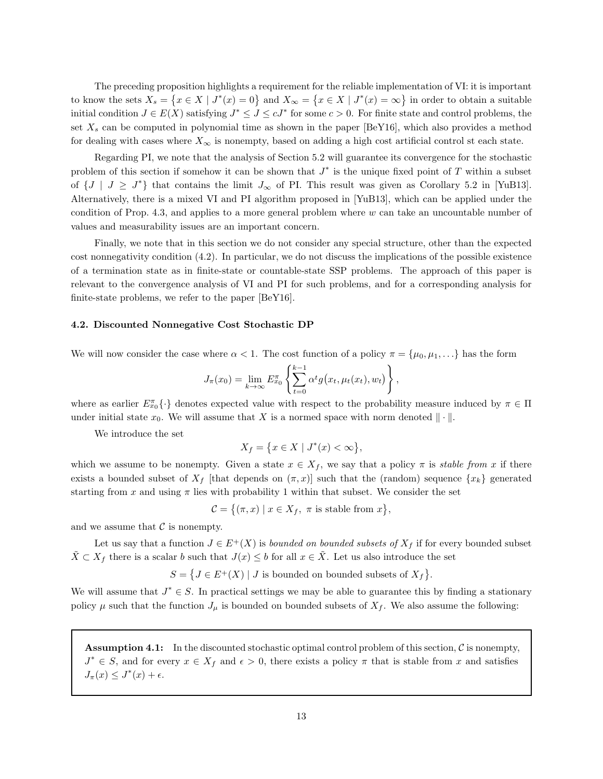The preceding proposition highlights a requirement for the reliable implementation of VI: it is important to know the sets  $X_s = \{x \in X \mid J^*(x) = 0\}$  and  $X_\infty = \{x \in X \mid J^*(x) = \infty\}$  in order to obtain a suitable initial condition  $J \in E(X)$  satisfying  $J^* \leq J \leq cJ^*$  for some  $c > 0$ . For finite state and control problems, the set  $X_s$  can be computed in polynomial time as shown in the paper [BeY16], which also provides a method for dealing with cases where  $X_{\infty}$  is nonempty, based on adding a high cost artificial control st each state.

Regarding PI, we note that the analysis of Section 5.2 will guarantee its convergence for the stochastic problem of this section if somehow it can be shown that  $J^*$  is the unique fixed point of T within a subset of  $\{J \mid J \geq J^*\}$  that contains the limit  $J_{\infty}$  of PI. This result was given as Corollary 5.2 in [YuB13]. Alternatively, there is a mixed VI and PI algorithm proposed in [YuB13], which can be applied under the condition of Prop. 4.3, and applies to a more general problem where  $w$  can take an uncountable number of values and measurability issues are an important concern.

Finally, we note that in this section we do not consider any special structure, other than the expected cost nonnegativity condition (4.2). In particular, we do not discuss the implications of the possible existence of a termination state as in finite-state or countable-state SSP problems. The approach of this paper is relevant to the convergence analysis of VI and PI for such problems, and for a corresponding analysis for finite-state problems, we refer to the paper [BeY16].

#### 4.2. Discounted Nonnegative Cost Stochastic DP

We will now consider the case where  $\alpha < 1$ . The cost function of a policy  $\pi = {\mu_0, \mu_1, \ldots}$  has the form

$$
J_{\pi}(x_0) = \lim_{k \to \infty} E_{x_0}^{\pi} \left\{ \sum_{t=0}^{k-1} \alpha^t g(x_t, \mu_t(x_t), w_t) \right\},\,
$$

where as earlier  $E_{x_0}^{\pi} \{\cdot\}$  denotes expected value with respect to the probability measure induced by  $\pi \in \Pi$ under initial state  $x_0$ . We will assume that X is a normed space with norm denoted  $\|\cdot\|$ .

We introduce the set

$$
X_f = \left\{ x \in X \mid J^*(x) < \infty \right\},
$$

which we assume to be nonempty. Given a state  $x \in X_f$ , we say that a policy  $\pi$  is *stable from x* if there exists a bounded subset of  $X_f$  [that depends on  $(\pi, x)$ ] such that the (random) sequence  $\{x_k\}$  generated starting from x and using  $\pi$  lies with probability 1 within that subset. We consider the set

 $\mathcal{C} = \{(\pi, x) \mid x \in X_f, \pi \text{ is stable from } x\},\$ 

and we assume that  $\mathcal C$  is nonempty.

Let us say that a function  $J \in E^+(X)$  is *bounded on bounded subsets of*  $X_f$  if for every bounded subset  $\tilde{X} \subset X_f$  there is a scalar b such that  $J(x) \leq b$  for all  $x \in \tilde{X}$ . Let us also introduce the set

 $S = \{ J \in E^+(X) \mid J \text{ is bounded on bounded subsets of } X_f \}.$ 

We will assume that  $J^* \in S$ . In practical settings we may be able to guarantee this by finding a stationary policy  $\mu$  such that the function  $J_{\mu}$  is bounded on bounded subsets of  $X_f$ . We also assume the following:

**Assumption 4.1:** In the discounted stochastic optimal control problem of this section,  $C$  is nonempty,  $J^* \in S$ , and for every  $x \in X_f$  and  $\epsilon > 0$ , there exists a policy  $\pi$  that is stable from x and satisfies  $J_{\pi}(x) \leq J^*(x) + \epsilon.$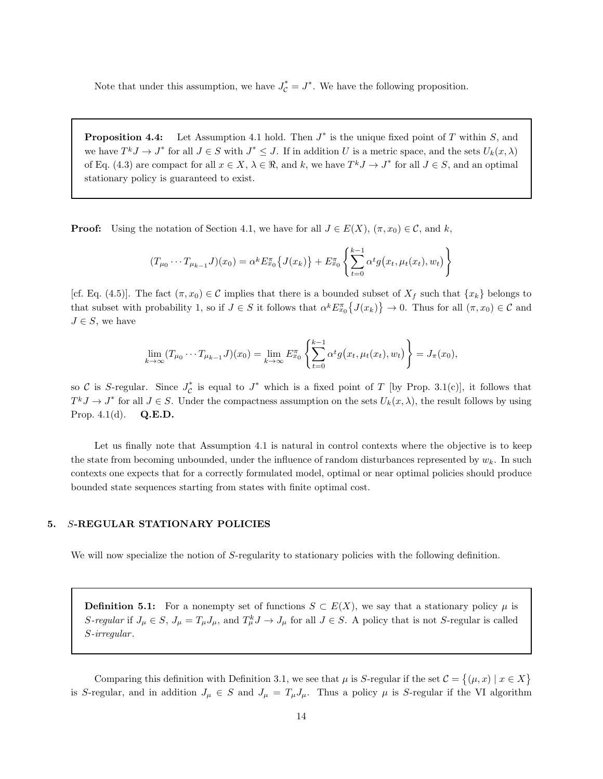Note that under this assumption, we have  $J_{\mathcal{C}}^* = J^*$ . We have the following proposition.

**Proposition 4.4:** Let Assumption 4.1 hold. Then  $J^*$  is the unique fixed point of T within  $S$ , and we have  $T^k J \to J^*$  for all  $J \in S$  with  $J^* \leq J$ . If in addition U is a metric space, and the sets  $U_k(x, \lambda)$ of Eq. (4.3) are compact for all  $x \in X$ ,  $\lambda \in \Re$ , and k, we have  $T^k J \to J^*$  for all  $J \in S$ , and an optimal stationary policy is guaranteed to exist.

**Proof:** Using the notation of Section 4.1, we have for all  $J \in E(X)$ ,  $(\pi, x_0) \in \mathcal{C}$ , and k,

$$
(T_{\mu_0} \cdots T_{\mu_{k-1}} J)(x_0) = \alpha^k E_{x_0}^{\pi} \{ J(x_k) \} + E_{x_0}^{\pi} \left\{ \sum_{t=0}^{k-1} \alpha^t g(x_t, \mu_t(x_t), w_t) \right\}
$$

[cf. Eq. (4.5)]. The fact  $(\pi, x_0) \in \mathcal{C}$  implies that there is a bounded subset of  $X_f$  such that  $\{x_k\}$  belongs to that subset with probability 1, so if  $J \in S$  it follows that  $\alpha^k E_{x_0}^{\pi} \big\{ J(x_k) \big\} \to 0$ . Thus for all  $(\pi, x_0) \in \mathcal{C}$  and  $J \in S$ , we have

$$
\lim_{k \to \infty} (T_{\mu_0} \cdots T_{\mu_{k-1}} J)(x_0) = \lim_{k \to \infty} E_{x_0}^{\pi} \left\{ \sum_{t=0}^{k-1} \alpha^t g(x_t, \mu_t(x_t), w_t) \right\} = J_{\pi}(x_0),
$$

so C is S-regular. Since  $J_{\mathcal{C}}^*$  is equal to  $J^*$  which is a fixed point of T [by Prop. 3.1(c)], it follows that  $T^kJ \to J^*$  for all  $J \in S$ . Under the compactness assumption on the sets  $U_k(x, \lambda)$ , the result follows by using Prop. 4.1(d).  $Q.E.D.$ 

Let us finally note that Assumption 4.1 is natural in control contexts where the objective is to keep the state from becoming unbounded, under the influence of random disturbances represented by  $w_k$ . In such contexts one expects that for a correctly formulated model, optimal or near optimal policies should produce bounded state sequences starting from states with finite optimal cost.

#### 5. S-REGULAR STATIONARY POLICIES

We will now specialize the notion of S-regularity to stationary policies with the following definition.

**Definition 5.1:** For a nonempty set of functions  $S \subset E(X)$ , we say that a stationary policy  $\mu$  is S-regular if  $J_\mu \in S$ ,  $J_\mu = T_\mu J_\mu$ , and  $T_\mu^k J \to J_\mu$  for all  $J \in S$ . A policy that is not S-regular is called S-irregular .

Comparing this definition with Definition 3.1, we see that  $\mu$  is S-regular if the set  $\mathcal{C} = \{(\mu, x) | x \in X\}$ is S-regular, and in addition  $J_\mu \in S$  and  $J_\mu = T_\mu J_\mu$ . Thus a policy  $\mu$  is S-regular if the VI algorithm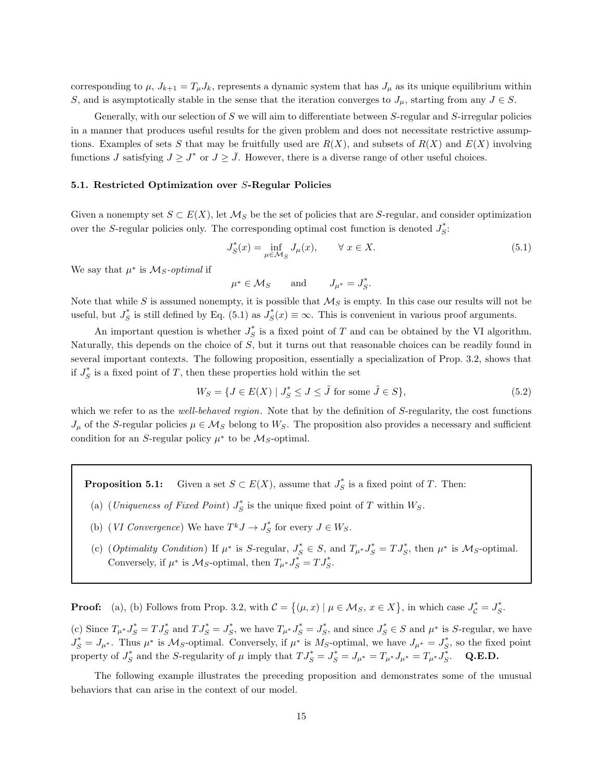corresponding to  $\mu$ ,  $J_{k+1} = T_{\mu}J_k$ , represents a dynamic system that has  $J_{\mu}$  as its unique equilibrium within S, and is asymptotically stable in the sense that the iteration converges to  $J_{\mu}$ , starting from any  $J \in S$ .

Generally, with our selection of S we will aim to differentiate between S-regular and S-irregular policies in a manner that produces useful results for the given problem and does not necessitate restrictive assumptions. Examples of sets S that may be fruitfully used are  $R(X)$ , and subsets of  $R(X)$  and  $E(X)$  involving functions J satisfying  $J \geq J^*$  or  $J \geq \overline{J}$ . However, there is a diverse range of other useful choices.

#### 5.1. Restricted Optimization over S-Regular Policies

Given a nonempty set  $S \subset E(X)$ , let  $\mathcal{M}_S$  be the set of policies that are S-regular, and consider optimization over the S-regular policies only. The corresponding optimal cost function is denoted  $J_{\mathcal{S}}^*$ :

$$
J_S^*(x) = \inf_{\mu \in \mathcal{M}_S} J_\mu(x), \qquad \forall \ x \in X. \tag{5.1}
$$

.

We say that  $\mu^*$  is  $\mathcal{M}_S\text{-}optimal$  if

$$
\mu^* \in \mathcal{M}_S \qquad \text{and} \qquad J_{\mu^*} = J_S^*
$$

Note that while S is assumed nonempty, it is possible that  $\mathcal{M}_S$  is empty. In this case our results will not be useful, but  $J_S^*$  is still defined by Eq. (5.1) as  $J_S^*(x) \equiv \infty$ . This is convenient in various proof arguments.

An important question is whether  $J_S^*$  is a fixed point of T and can be obtained by the VI algorithm. Naturally, this depends on the choice of  $S$ , but it turns out that reasonable choices can be readily found in several important contexts. The following proposition, essentially a specialization of Prop. 3.2, shows that if  $J_S^*$  is a fixed point of T, then these properties hold within the set

$$
W_S = \{ J \in E(X) \mid J_S^* \le J \le \tilde{J} \text{ for some } \tilde{J} \in S \},\tag{5.2}
$$

which we refer to as the *well-behaved region*. Note that by the definition of S-regularity, the cost functions  $J_\mu$  of the S-regular policies  $\mu \in \mathcal{M}_S$  belong to  $W_S$ . The proposition also provides a necessary and sufficient condition for an S-regular policy  $\mu^*$  to be  $\mathcal{M}_S$ -optimal.

**Proposition 5.1:** Given a set  $S \subset E(X)$ , assume that  $J_S^*$  is a fixed point of T. Then:

- (a) (*Uniqueness of Fixed Point*)  $J_S^*$  is the unique fixed point of T within  $W_S$ .
- (b) (VI Convergence) We have  $T^k J \to J_S^*$  for every  $J \in W_S$ .
- (c) (*Optimality Condition*) If  $\mu^*$  is S-regular,  $J_S^* \in S$ , and  $T_{\mu^*} J_S^* = T J_S^*$ , then  $\mu^*$  is  $\mathcal{M}_S$ -optimal. Conversely, if  $\mu^*$  is  $\mathcal{M}_S$ -optimal, then  $T_{\mu^*} J_S^* = T J_S^*$ .

**Proof:** (a), (b) Follows from Prop. 3.2, with  $C = \{(\mu, x) | \mu \in M_S, x \in X\}$ , in which case  $J_c^* = J_S^*$ .

(c) Since  $T_{\mu^*}J_S^* = TJ_S^*$  and  $TJ_S^* = J_S^*$ , we have  $T_{\mu^*}J_S^* = J_S^*$ , and since  $J_S^* \in S$  and  $\mu^*$  is S-regular, we have  $J_S^* = J_{\mu^*}$ . Thus  $\mu^*$  is  $\mathcal{M}_S$ -optimal. Conversely, if  $\mu^*$  is  $M_S$ -optimal, we have  $J_{\mu^*} = J_S^*$ , so the fixed point property of  $J_S^*$  and the S-regularity of  $\mu$  imply that  $T J_S^* = J_S^* = J_{\mu^*} = T_{\mu^*} J_{\mu^*} = T_{\mu^*} J_S^*$ . Q.E.D.

The following example illustrates the preceding proposition and demonstrates some of the unusual behaviors that can arise in the context of our model.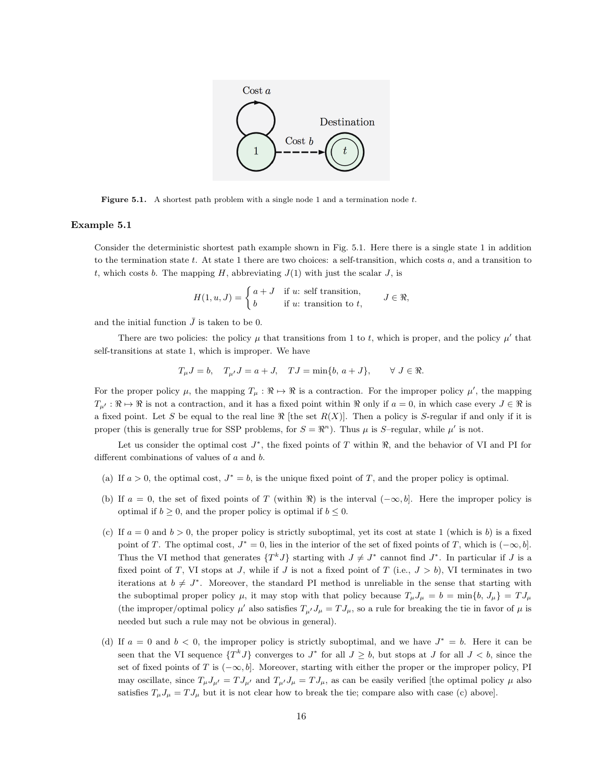

Figure 5.1. A shortest path problem with a single node 1 and a termination node t.

#### Example 5.1

Consider the deterministic shortest path example shown in Fig. 5.1. Here there is a single state 1 in addition to the termination state t. At state 1 there are two choices: a self-transition, which costs a, and a transition to t, which costs b. The mapping H, abbreviating  $J(1)$  with just the scalar J, is

$$
H(1, u, J) = \begin{cases} a + J & \text{if } u: \text{ self transition,} \\ b & \text{if } u: \text{ transition to } t, \end{cases} \qquad J \in \mathbb{R},
$$

and the initial function  $\bar{J}$  is taken to be 0.

There are two policies: the policy  $\mu$  that transitions from 1 to t, which is proper, and the policy  $\mu'$  that self-transitions at state 1, which is improper. We have

$$
T_{\mu}J = b, \quad T_{\mu'}J = a + J, \quad TJ = \min\{b, a + J\}, \qquad \forall J \in \Re.
$$

For the proper policy  $\mu$ , the mapping  $T_{\mu} : \mathbb{R} \to \mathbb{R}$  is a contraction. For the improper policy  $\mu'$ , the mapping  $T_{\mu'} : \mathbb{R} \to \mathbb{R}$  is not a contraction, and it has a fixed point within  $\mathbb{R}$  only if  $a = 0$ , in which case every  $J \in \mathbb{R}$  is a fixed point. Let S be equal to the real line  $\Re$  [the set  $R(X)$ ]. Then a policy is S-regular if and only if it is proper (this is generally true for SSP problems, for  $S = \mathbb{R}^n$ ). Thus  $\mu$  is S-regular, while  $\mu'$  is not.

Let us consider the optimal cost  $J^*$ , the fixed points of T within  $\Re$ , and the behavior of VI and PI for different combinations of values of a and b.

- (a) If  $a > 0$ , the optimal cost,  $J^* = b$ , is the unique fixed point of T, and the proper policy is optimal.
- (b) If  $a = 0$ , the set of fixed points of T (within  $\Re$ ) is the interval  $(-\infty, b]$ . Here the improper policy is optimal if  $b > 0$ , and the proper policy is optimal if  $b \leq 0$ .
- (c) If  $a = 0$  and  $b > 0$ , the proper policy is strictly suboptimal, yet its cost at state 1 (which is b) is a fixed point of T. The optimal cost,  $J^* = 0$ , lies in the interior of the set of fixed points of T, which is  $(-\infty, b]$ . Thus the VI method that generates  $\{T^kJ\}$  starting with  $J \neq J^*$  cannot find  $J^*$ . In particular if J is a fixed point of T, VI stops at J, while if J is not a fixed point of T (i.e.,  $J > b$ ), VI terminates in two iterations at  $b \neq J^*$ . Moreover, the standard PI method is unreliable in the sense that starting with the suboptimal proper policy  $\mu$ , it may stop with that policy because  $T_{\mu}J_{\mu} = b = \min\{b, J_{\mu}\} = TJ_{\mu}$ (the improper/optimal policy  $\mu'$  also satisfies  $T_{\mu'}J_{\mu} = T J_{\mu}$ , so a rule for breaking the tie in favor of  $\mu$  is needed but such a rule may not be obvious in general).
- (d) If  $a = 0$  and  $b < 0$ , the improper policy is strictly suboptimal, and we have  $J^* = b$ . Here it can be seen that the VI sequence  $\{T^k J\}$  converges to  $J^*$  for all  $J \geq b$ , but stops at J for all  $J < b$ , since the set of fixed points of T is  $(-\infty, b]$ . Moreover, starting with either the proper or the improper policy, PI may oscillate, since  $T_{\mu}J_{\mu'} = TJ_{\mu'}$  and  $T_{\mu'}J_{\mu} = TJ_{\mu}$ , as can be easily verified [the optimal policy  $\mu$  also satisfies  $T_{\mu}J_{\mu} = TJ_{\mu}$  but it is not clear how to break the tie; compare also with case (c) above].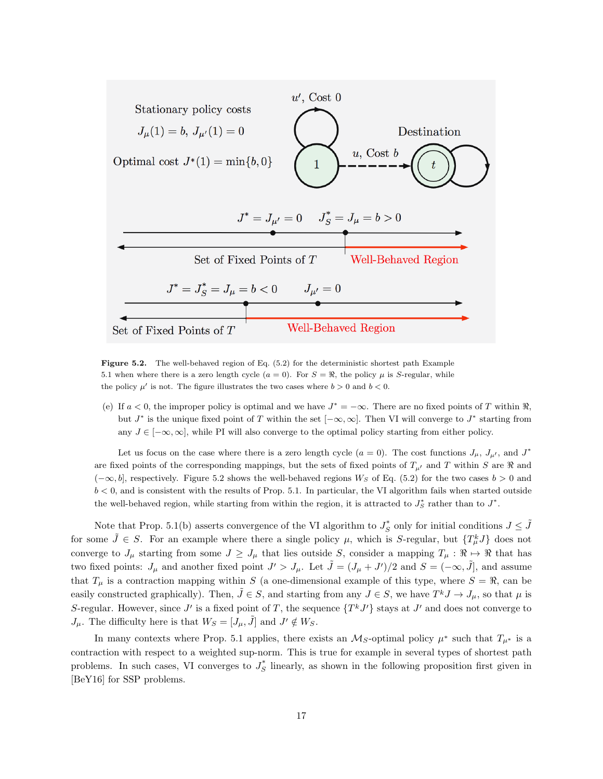

Figure 5.2. The well-behaved region of Eq. (5.2) for the deterministic shortest path Example 5.1 when where there is a zero length cycle  $(a = 0)$ . For  $S = \mathcal{R}$ , the policy  $\mu$  is S-regular, while the policy  $\mu'$  is not. The figure illustrates the two cases where  $b > 0$  and  $b < 0$ .

(e) If  $a < 0$ , the improper policy is optimal and we have  $J^* = -\infty$ . There are no fixed points of T within  $\Re$ , but  $J^*$  is the unique fixed point of T within the set  $[-\infty, \infty]$ . Then VI will converge to  $J^*$  starting from any  $J \in [-\infty, \infty]$ , while PI will also converge to the optimal policy starting from either policy.

Let us focus on the case where there is a zero length cycle  $(a = 0)$ . The cost functions  $J_{\mu}$ ,  $J_{\mu'}$ , and  $J^*$ are fixed points of the corresponding mappings, but the sets of fixed points of  $T_{\mu'}$  and T within S are  $\Re$  and  $(-\infty, b]$ , respectively. Figure 5.2 shows the well-behaved regions W<sub>S</sub> of Eq. (5.2) for the two cases  $b > 0$  and  $b < 0$ , and is consistent with the results of Prop. 5.1. In particular, the VI algorithm fails when started outside the well-behaved region, while starting from within the region, it is attracted to  $J_{S}^{*}$  rather than to  $J^{*}$ .

Note that Prop. 5.1(b) asserts convergence of the VI algorithm to  $J_S^*$  only for initial conditions  $J \leq \tilde{J}$ for some  $\tilde{J} \in S$ . For an example where there a single policy  $\mu$ , which is S-regular, but  $\{T^k_\mu J\}$  does not converge to  $J_\mu$  starting from some  $J \geq J_\mu$  that lies outside S, consider a mapping  $T_\mu : \Re \mapsto \Re$  that has two fixed points:  $J_{\mu}$  and another fixed point  $J' > J_{\mu}$ . Let  $\tilde{J} = (J_{\mu} + J')/2$  and  $S = (-\infty, \tilde{J}]$ , and assume that  $T_{\mu}$  is a contraction mapping within S (a one-dimensional example of this type, where  $S = \Re$ , can be easily constructed graphically). Then,  $\tilde{J} \in S$ , and starting from any  $J \in S$ , we have  $T^k J \to J_\mu$ , so that  $\mu$  is S-regular. However, since J' is a fixed point of T, the sequence  $\{T^k J'\}$  stays at J' and does not converge to  $J_{\mu}$ . The difficulty here is that  $W_S = [J_{\mu}, \tilde{J}]$  and  $J' \notin W_S$ .

In many contexts where Prop. 5.1 applies, there exists an  $\mathcal{M}_S$ -optimal policy  $\mu^*$  such that  $T_{\mu^*}$  is a contraction with respect to a weighted sup-norm. This is true for example in several types of shortest path problems. In such cases, VI converges to  $J_{S}^{*}$  linearly, as shown in the following proposition first given in [BeY16] for SSP problems.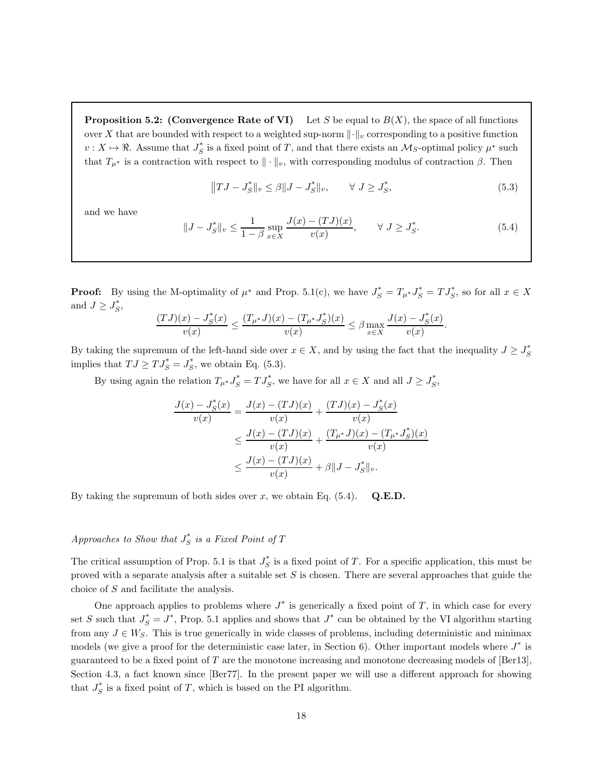**Proposition 5.2:** (Convergence Rate of VI) Let S be equal to  $B(X)$ , the space of all functions over X that are bounded with respect to a weighted sup-norm  $\lVert \cdot \rVert_v$  corresponding to a positive function  $v: X \mapsto \Re$ . Assume that  $J_S^*$  is a fixed point of T, and that there exists an  $\mathcal{M}_S$ -optimal policy  $\mu^*$  such that  $T_{\mu^*}$  is a contraction with respect to  $\|\cdot\|_v$ , with corresponding modulus of contraction  $\beta$ . Then

$$
||TJ - J_{S}^{*}||_{v} \leq \beta ||J - J_{S}^{*}||_{v}, \qquad \forall \ J \geq J_{S}^{*}, \tag{5.3}
$$

and we have

$$
||J - J_S^*||_v \le \frac{1}{1 - \beta} \sup_{x \in X} \frac{J(x) - (TJ)(x)}{v(x)}, \qquad \forall \ J \ge J_S^*.
$$
 (5.4)

**Proof:** By using the M-optimality of  $\mu^*$  and Prop. 5.1(c), we have  $J_S^* = T_{\mu^*} J_S^* = T J_S^*$ , so for all  $x \in X$ and  $J \geq J_S^*$ ,

$$
\frac{(TJ)(x) - J_S^*(x)}{v(x)} \le \frac{(T_{\mu^*}J)(x) - (T_{\mu^*}J_S^*)(x)}{v(x)} \le \beta \max_{x \in X} \frac{J(x) - J_S^*(x)}{v(x)}.
$$

By taking the supremum of the left-hand side over  $x \in X$ , and by using the fact that the inequality  $J \geq J_{S}^{*}$ implies that  $TJ \geq TJ_S^* = J_S^*$ , we obtain Eq. (5.3).

By using again the relation  $T_{\mu^*} J_S^* = T J_S^*$ , we have for all  $x \in X$  and all  $J \geq J_S^*$ ,

$$
\frac{J(x) - J_S^*(x)}{v(x)} = \frac{J(x) - (TJ)(x)}{v(x)} + \frac{(TJ)(x) - J_S^*(x)}{v(x)}
$$
  

$$
\leq \frac{J(x) - (TJ)(x)}{v(x)} + \frac{(T_{\mu^*}J)(x) - (T_{\mu^*}J_S^*)(x)}{v(x)}
$$
  

$$
\leq \frac{J(x) - (TJ)(x)}{v(x)} + \beta ||J - J_S^*||_v.
$$

By taking the supremum of both sides over x, we obtain Eq.  $(5.4)$ . Q.E.D.

# $Approaches to Show that J_S^*$  is a Fixed Point of T

The critical assumption of Prop. 5.1 is that  $J_S^*$  is a fixed point of T. For a specific application, this must be proved with a separate analysis after a suitable set  $S$  is chosen. There are several approaches that guide the choice of S and facilitate the analysis.

One approach applies to problems where  $J^*$  is generically a fixed point of T, in which case for every set S such that  $J_S^* = J^*$ , Prop. 5.1 applies and shows that  $J^*$  can be obtained by the VI algorithm starting from any  $J \in W_S$ . This is true generically in wide classes of problems, including deterministic and minimax models (we give a proof for the deterministic case later, in Section 6). Other important models where  $J^*$  is guaranteed to be a fixed point of  $T$  are the monotone increasing and monotone decreasing models of [Ber13], Section 4.3, a fact known since [Ber77]. In the present paper we will use a different approach for showing that  $J_S^*$  is a fixed point of T, which is based on the PI algorithm.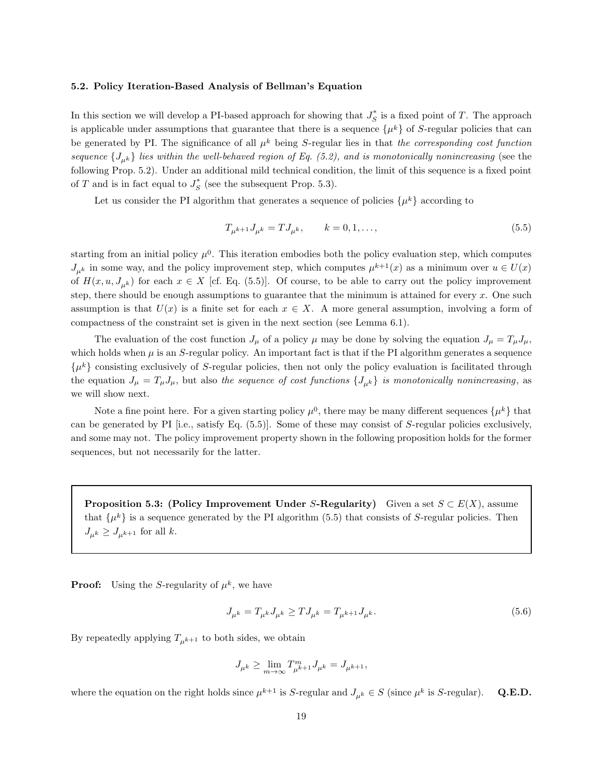#### 5.2. Policy Iteration-Based Analysis of Bellman's Equation

In this section we will develop a PI-based approach for showing that  $J_S^*$  is a fixed point of T. The approach is applicable under assumptions that guarantee that there is a sequence  $\{\mu^k\}$  of S-regular policies that can be generated by PI. The significance of all  $\mu^k$  being S-regular lies in that the corresponding cost function sequence  $\{J_{\mu k}\}\$  lies within the well-behaved region of Eq. (5.2), and is monotonically nonincreasing (see the following Prop. 5.2). Under an additional mild technical condition, the limit of this sequence is a fixed point of T and is in fact equal to  $J_S^*$  (see the subsequent Prop. 5.3).

Let us consider the PI algorithm that generates a sequence of policies  $\{\mu^k\}$  according to

$$
T_{\mu^{k+1}} J_{\mu^k} = T J_{\mu^k}, \qquad k = 0, 1, \dots,
$$
\n(5.5)

starting from an initial policy  $\mu^0$ . This iteration embodies both the policy evaluation step, which computes  $J_{\mu k}$  in some way, and the policy improvement step, which computes  $\mu^{k+1}(x)$  as a minimum over  $u \in U(x)$ of  $H(x, u, J_{\mu k})$  for each  $x \in X$  [cf. Eq. (5.5)]. Of course, to be able to carry out the policy improvement step, there should be enough assumptions to guarantee that the minimum is attained for every  $x$ . One such assumption is that  $U(x)$  is a finite set for each  $x \in X$ . A more general assumption, involving a form of compactness of the constraint set is given in the next section (see Lemma 6.1).

The evaluation of the cost function  $J_\mu$  of a policy  $\mu$  may be done by solving the equation  $J_\mu = T_\mu J_\mu$ , which holds when  $\mu$  is an S-regular policy. An important fact is that if the PI algorithm generates a sequence  $\{\mu^k\}$  consisting exclusively of S-regular policies, then not only the policy evaluation is facilitated through the equation  $J_{\mu} = T_{\mu}J_{\mu}$ , but also the sequence of cost functions  $\{J_{\mu k}\}\$ is monotonically nonincreasing, as we will show next.

Note a fine point here. For a given starting policy  $\mu^0$ , there may be many different sequences  $\{\mu^k\}$  that can be generated by PI [i.e., satisfy Eq. (5.5)]. Some of these may consist of S-regular policies exclusively, and some may not. The policy improvement property shown in the following proposition holds for the former sequences, but not necessarily for the latter.

**Proposition 5.3: (Policy Improvement Under S-Regularity)** Given a set  $S \subset E(X)$ , assume that  $\{\mu^k\}$  is a sequence generated by the PI algorithm (5.5) that consists of S-regular policies. Then  $J_{\mu k} \geq J_{\mu k+1}$  for all k.

**Proof:** Using the S-regularity of  $\mu^k$ , we have

$$
J_{\mu^k} = T_{\mu^k} J_{\mu^k} \ge T J_{\mu^k} = T_{\mu^{k+1}} J_{\mu^k}.
$$
\n(5.6)

By repeatedly applying  $T_{\mu^{k+1}}$  to both sides, we obtain

$$
J_{\mu^k}\geq \lim_{m\to\infty} T_{\mu^{k+1}}^m J_{\mu^k}=J_{\mu^{k+1}},
$$

where the equation on the right holds since  $\mu^{k+1}$  is S-regular and  $J_{\mu^k} \in S$  (since  $\mu^k$  is S-regular). Q.E.D.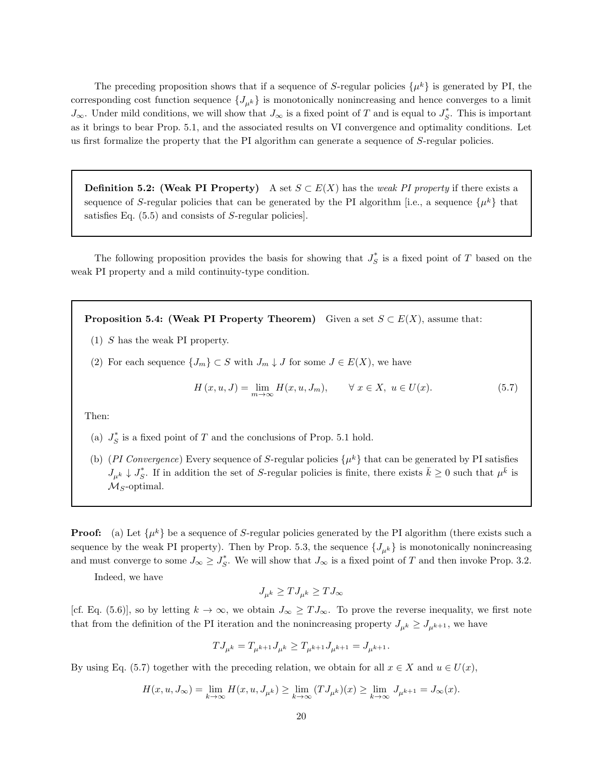The preceding proposition shows that if a sequence of S-regular policies  $\{\mu^k\}$  is generated by PI, the corresponding cost function sequence  ${J_{\mu k}}$  is monotonically nonincreasing and hence converges to a limit  $J_{\infty}$ . Under mild conditions, we will show that  $J_{\infty}$  is a fixed point of T and is equal to  $J_{S}^{*}$ . This is important as it brings to bear Prop. 5.1, and the associated results on VI convergence and optimality conditions. Let us first formalize the property that the PI algorithm can generate a sequence of S-regular policies.

**Definition 5.2: (Weak PI Property)** A set  $S \subset E(X)$  has the weak PI property if there exists a sequence of S-regular policies that can be generated by the PI algorithm [i.e., a sequence  $\{\mu^k\}$  that satisfies Eq.  $(5.5)$  and consists of S-regular policies].

The following proposition provides the basis for showing that  $J_S^*$  is a fixed point of T based on the weak PI property and a mild continuity-type condition.

**Proposition 5.4: (Weak PI Property Theorem)** Given a set  $S \subset E(X)$ , assume that:

- (1) S has the weak PI property.
- (2) For each sequence  $\{J_m\} \subset S$  with  $J_m \downarrow J$  for some  $J \in E(X)$ , we have

$$
H(x, u, J) = \lim_{m \to \infty} H(x, u, J_m), \qquad \forall \ x \in X, \ u \in U(x).
$$
 (5.7)

Then:

- (a)  $J_S^*$  is a fixed point of T and the conclusions of Prop. 5.1 hold.
- (b) (PI Convergence) Every sequence of S-regular policies  $\{\mu^k\}$  that can be generated by PI satisfies  $J_{\mu^k} \downarrow J^*_{S}$ . If in addition the set of S-regular policies is finite, there exists  $\bar{k} \geq 0$  such that  $\mu^{\bar{k}}$  is  $\mathcal{M}_S$ -optimal.

**Proof:** (a) Let  $\{\mu^k\}$  be a sequence of S-regular policies generated by the PI algorithm (there exists such a sequence by the weak PI property). Then by Prop. 5.3, the sequence  ${J_{\mu k}}$  is monotonically nonincreasing and must converge to some  $J_{\infty} \geq J_{S}^{*}$ . We will show that  $J_{\infty}$  is a fixed point of T and then invoke Prop. 3.2.

Indeed, we have

$$
J_{\mu^k} \geq T J_{\mu^k} \geq T J_{\infty}
$$

[cf. Eq. (5.6)], so by letting  $k \to \infty$ , we obtain  $J_{\infty} \geq T J_{\infty}$ . To prove the reverse inequality, we first note that from the definition of the PI iteration and the nonincreasing property  $J_{\mu k} \geq J_{\mu k+1}$ , we have

$$
T J_{\mu^k} = T_{\mu^{k+1}} J_{\mu^k} \ge T_{\mu^{k+1}} J_{\mu^{k+1}} = J_{\mu^{k+1}}.
$$

By using Eq. (5.7) together with the preceding relation, we obtain for all  $x \in X$  and  $u \in U(x)$ ,

$$
H(x, u, J_{\infty}) = \lim_{k \to \infty} H(x, u, J_{\mu^k}) \ge \lim_{k \to \infty} (T J_{\mu^k})(x) \ge \lim_{k \to \infty} J_{\mu^{k+1}} = J_{\infty}(x).
$$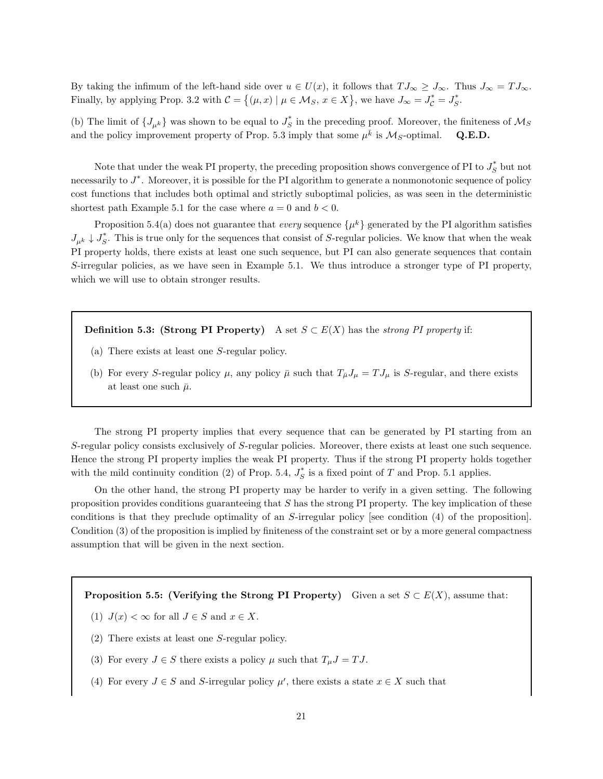By taking the infimum of the left-hand side over  $u \in U(x)$ , it follows that  $T J_{\infty} \geq J_{\infty}$ . Thus  $J_{\infty} = T J_{\infty}$ . Finally, by applying Prop. 3.2 with  $C = \{(\mu, x) \mid \mu \in M_S, x \in X\}$ , we have  $J_{\infty} = J_{\mathcal{C}}^* = J_{S}^*$ .

(b) The limit of  $\{J_{\mu^k}\}\$  was shown to be equal to  $J_S^*$  in the preceding proof. Moreover, the finiteness of  $\mathcal{M}_S$ and the policy improvement property of Prop. 5.3 imply that some  $\mu^{\bar{k}}$  is  $\mathcal{M}_S$ -optimal. Q.E.D.

Note that under the weak PI property, the preceding proposition shows convergence of PI to  $J_S^*$  but not necessarily to J\*. Moreover, it is possible for the PI algorithm to generate a nonmonotonic sequence of policy cost functions that includes both optimal and strictly suboptimal policies, as was seen in the deterministic shortest path Example 5.1 for the case where  $a = 0$  and  $b < 0$ .

Proposition 5.4(a) does not guarantee that *every* sequence  $\{\mu^k\}$  generated by the PI algorithm satisfies  $J_{\mu^k} \downarrow J_S^*$ . This is true only for the sequences that consist of S-regular policies. We know that when the weak PI property holds, there exists at least one such sequence, but PI can also generate sequences that contain S-irregular policies, as we have seen in Example 5.1. We thus introduce a stronger type of PI property, which we will use to obtain stronger results.

**Definition 5.3: (Strong PI Property)** A set  $S \subset E(X)$  has the strong PI property if:

- (a) There exists at least one S-regular policy.
- (b) For every S-regular policy  $\mu$ , any policy  $\bar{\mu}$  such that  $T_{\bar{\mu}}J_{\mu}=TJ_{\mu}$  is S-regular, and there exists at least one such  $\bar{\mu}$ .

The strong PI property implies that every sequence that can be generated by PI starting from an S-regular policy consists exclusively of S-regular policies. Moreover, there exists at least one such sequence. Hence the strong PI property implies the weak PI property. Thus if the strong PI property holds together with the mild continuity condition (2) of Prop. 5.4,  $J_S^*$  is a fixed point of T and Prop. 5.1 applies.

On the other hand, the strong PI property may be harder to verify in a given setting. The following proposition provides conditions guaranteeing that S has the strong PI property. The key implication of these conditions is that they preclude optimality of an S-irregular policy [see condition (4) of the proposition]. Condition (3) of the proposition is implied by finiteness of the constraint set or by a more general compactness assumption that will be given in the next section.

**Proposition 5.5: (Verifying the Strong PI Property)** Given a set  $S \subset E(X)$ , assume that:

- (1)  $J(x) < \infty$  for all  $J \in S$  and  $x \in X$ .
- (2) There exists at least one S-regular policy.
- (3) For every  $J \in S$  there exists a policy  $\mu$  such that  $T_{\mu}J = TJ$ .
- (4) For every  $J \in S$  and S-irregular policy  $\mu'$ , there exists a state  $x \in X$  such that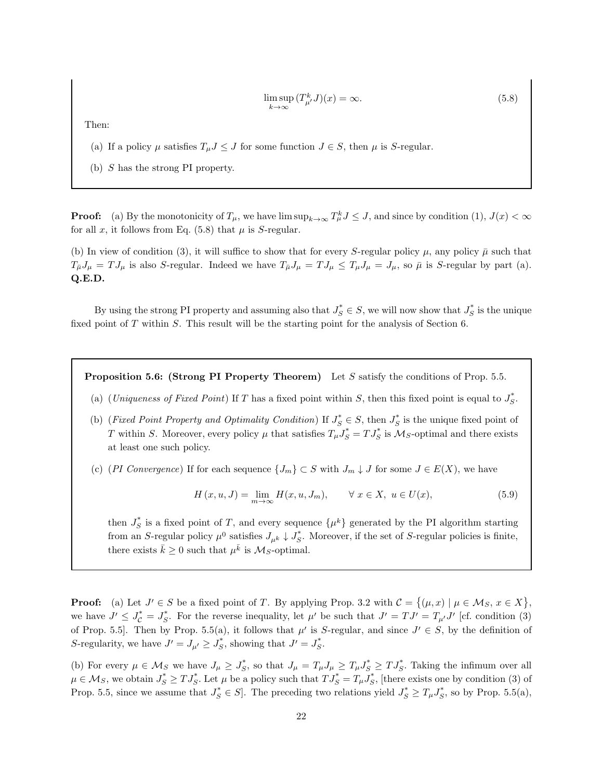$$
\limsup_{k \to \infty} (T_{\mu'}^k J)(x) = \infty.
$$
\n(5.8)

Then:

- (a) If a policy  $\mu$  satisfies  $T_{\mu}J \leq J$  for some function  $J \in S$ , then  $\mu$  is S-regular.
- (b) S has the strong PI property.

**Proof:** (a) By the monotonicity of  $T_{\mu}$ , we have  $\limsup_{k\to\infty}T_{\mu}^kJ\leq J$ , and since by condition  $(1), J(x)<\infty$ for all x, it follows from Eq. (5.8) that  $\mu$  is S-regular.

(b) In view of condition (3), it will suffice to show that for every S-regular policy  $\mu$ , any policy  $\bar{\mu}$  such that  $T_{\bar{\mu}}J_{\mu} = TJ_{\mu}$  is also S-regular. Indeed we have  $T_{\bar{\mu}}J_{\mu} = TJ_{\mu} \leq T_{\mu}J_{\mu} = J_{\mu}$ , so  $\bar{\mu}$  is S-regular by part (a). Q.E.D.

By using the strong PI property and assuming also that  $J_S^* \in S$ , we will now show that  $J_S^*$  is the unique fixed point of T within S. This result will be the starting point for the analysis of Section 6.

Proposition 5.6: (Strong PI Property Theorem) Let S satisfy the conditions of Prop. 5.5.

- (a) (Uniqueness of Fixed Point) If T has a fixed point within S, then this fixed point is equal to  $J_S^*$ .
- (b) (*Fixed Point Property and Optimality Condition*) If  $J_S^* \in S$ , then  $J_S^*$  is the unique fixed point of T within S. Moreover, every policy  $\mu$  that satisfies  $T_{\mu}J_{S}^{*}=TJ_{S}^{*}$  is  $\mathcal{M}_{S}$ -optimal and there exists at least one such policy.
- (c) (PI Convergence) If for each sequence  $\{J_m\} \subset S$  with  $J_m \downarrow J$  for some  $J \in E(X)$ , we have

$$
H(x, u, J) = \lim_{m \to \infty} H(x, u, J_m), \qquad \forall x \in X, u \in U(x), \tag{5.9}
$$

then  $J_S^*$  is a fixed point of T, and every sequence  $\{\mu^k\}$  generated by the PI algorithm starting from an S-regular policy  $\mu^0$  satisfies  $J_{\mu^k} \downarrow J_S^*$ . Moreover, if the set of S-regular policies is finite, there exists  $\bar{k} \ge 0$  such that  $\mu^{\bar{k}}$  is  $\mathcal{M}_S$ -optimal.

**Proof:** (a) Let  $J' \in S$  be a fixed point of T. By applying Prop. 3.2 with  $C = \{(\mu, x) | \mu \in M_S, x \in X\}$ , we have  $J' \leq J_{\mathcal{C}}^* = J_{S}^*$ . For the reverse inequality, let  $\mu'$  be such that  $J' = TJ' = T_{\mu'}J'$  [cf. condition (3) of Prop. 5.5. Then by Prop. 5.5(a), it follows that  $\mu'$  is S-regular, and since  $J' \in S$ , by the definition of S-regularity, we have  $J' = J_{\mu'} \geq J_S^*$ , showing that  $J' = J_S^*$ .

(b) For every  $\mu \in M_S$  we have  $J_{\mu} \ge J_S^*$ , so that  $J_{\mu} = T_{\mu} J_{\mu} \ge T_{\mu} J_S^* \ge T J_S^*$ . Taking the infimum over all  $\mu \in \mathcal{M}_S$ , we obtain  $J_S^* \geq T J_S^*$ . Let  $\mu$  be a policy such that  $T J_S^* = T_{\mu} J_S^*$ , [there exists one by condition (3) of Prop. 5.5, since we assume that  $J_S^* \in S$ . The preceding two relations yield  $J_S^* \ge T_\mu J_S^*$ , so by Prop. 5.5(a),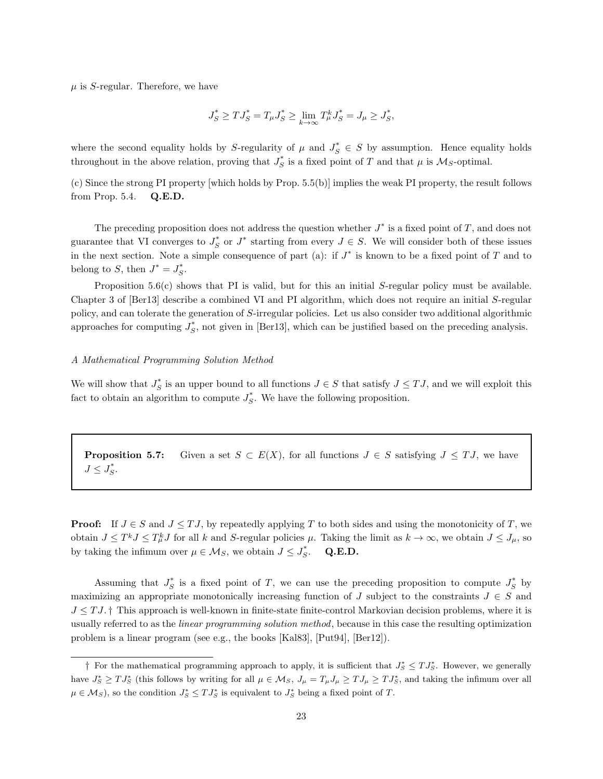$\mu$  is S-regular. Therefore, we have

$$
J_S^* \ge T J_S^* = T_{\mu} J_S^* \ge \lim_{k \to \infty} T_{\mu}^k J_S^* = J_{\mu} \ge J_S^*,
$$

where the second equality holds by S-regularity of  $\mu$  and  $J_S^* \in S$  by assumption. Hence equality holds throughout in the above relation, proving that  $J_S^*$  is a fixed point of T and that  $\mu$  is  $\mathcal{M}_S$ -optimal.

(c) Since the strong PI property [which holds by Prop. 5.5(b)] implies the weak PI property, the result follows from Prop. 5.4. Q.E.D.

The preceding proposition does not address the question whether  $J^*$  is a fixed point of T, and does not guarantee that VI converges to  $J_S^*$  or  $J^*$  starting from every  $J \in S$ . We will consider both of these issues in the next section. Note a simple consequence of part (a): if  $J^*$  is known to be a fixed point of  $T$  and to belong to S, then  $J^* = J_S^*$ .

Proposition 5.6(c) shows that PI is valid, but for this an initial S-regular policy must be available. Chapter 3 of [Ber13] describe a combined VI and PI algorithm, which does not require an initial S-regular policy, and can tolerate the generation of S-irregular policies. Let us also consider two additional algorithmic approaches for computing  $J_S^*$ , not given in [Ber13], which can be justified based on the preceding analysis.

#### A Mathematical Programming Solution Method

We will show that  $J_S^*$  is an upper bound to all functions  $J \in S$  that satisfy  $J \leq TJ$ , and we will exploit this fact to obtain an algorithm to compute  $J_S^*$ . We have the following proposition.

**Proposition 5.7:** Given a set  $S \subset E(X)$ , for all functions  $J \in S$  satisfying  $J \leq TJ$ , we have  $J \leq J_S^*$ .

**Proof:** If  $J \in S$  and  $J \leq TJ$ , by repeatedly applying T to both sides and using the monotonicity of T, we obtain  $J \leq T^k J \leq T^k_\mu J$  for all k and S-regular policies  $\mu$ . Taking the limit as  $k \to \infty$ , we obtain  $J \leq J_\mu$ , so by taking the infimum over  $\mu \in \mathcal{M}_S$ , we obtain  $J \leq J_S^*$ . Q.E.D.

Assuming that  $J_S^*$  is a fixed point of T, we can use the preceding proposition to compute  $J_S^*$  by maximizing an appropriate monotonically increasing function of J subject to the constraints  $J \in S$  and  $J \leq T J$ . † This approach is well-known in finite-state finite-control Markovian decision problems, where it is usually referred to as the linear programming solution method, because in this case the resulting optimization problem is a linear program (see e.g., the books [Kal83], [Put94], [Ber12]).

<sup>†</sup> For the mathematical programming approach to apply, it is sufficient that  $J_S^* \leq T J_S^*$ . However, we generally have  $J_S^* \geq T J_S^*$  (this follows by writing for all  $\mu \in \mathcal{M}_S$ ,  $J_\mu = T_\mu J_\mu \geq T J_\mu \geq T J_S^*$ , and taking the infimum over all  $\mu \in \mathcal{M}_S$ , so the condition  $J_S^* \leq T J_S^*$  is equivalent to  $J_S^*$  being a fixed point of T.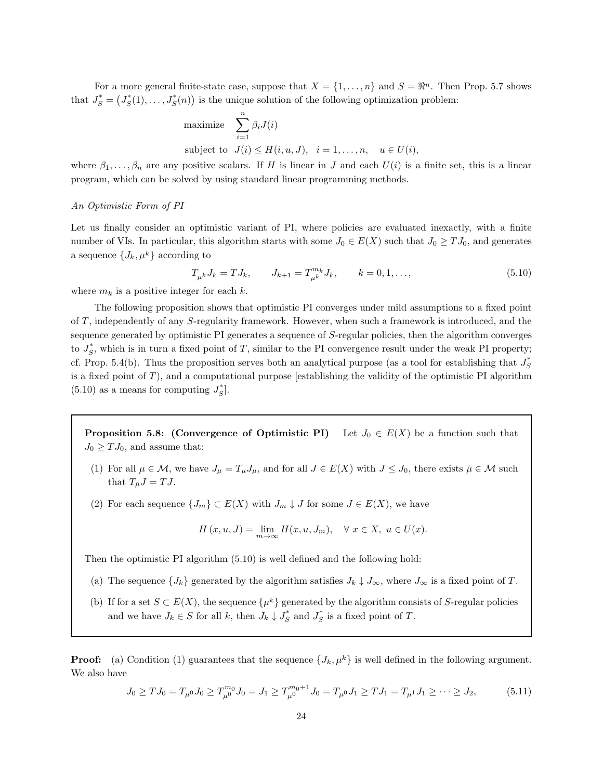For a more general finite-state case, suppose that  $X = \{1, \ldots, n\}$  and  $S = \mathbb{R}^n$ . Then Prop. 5.7 shows that  $J_S^* = (J_S^*(1), \ldots, J_S^*(n))$  is the unique solution of the following optimization problem:

maximize 
$$
\sum_{i=1}^{n} \beta_i J(i)
$$
  
subject to  $J(i) \le H(i, u, J), i = 1,..., n, u \in U(i),$ 

where  $\beta_1, \ldots, \beta_n$  are any positive scalars. If H is linear in J and each  $U(i)$  is a finite set, this is a linear program, which can be solved by using standard linear programming methods.

#### An Optimistic Form of PI

Let us finally consider an optimistic variant of PI, where policies are evaluated inexactly, with a finite number of VIs. In particular, this algorithm starts with some  $J_0 \in E(X)$  such that  $J_0 \geq T J_0$ , and generates a sequence  $\{J_k, \mu^k\}$  according to

$$
T_{\mu k} J_k = T J_k, \qquad J_{k+1} = T_{\mu k}^{m_k} J_k, \qquad k = 0, 1, ..., \qquad (5.10)
$$

where  $m_k$  is a positive integer for each k.

The following proposition shows that optimistic PI converges under mild assumptions to a fixed point of T , independently of any S-regularity framework. However, when such a framework is introduced, and the sequence generated by optimistic PI generates a sequence of S-regular policies, then the algorithm converges to  $J_S^*$ , which is in turn a fixed point of T, similar to the PI convergence result under the weak PI property; cf. Prop. 5.4(b). Thus the proposition serves both an analytical purpose (as a tool for establishing that  $J_S^*$ is a fixed point of  $T$ ), and a computational purpose [establishing the validity of the optimistic PI algorithm  $(5.10)$  as a means for computing  $J_S^*$ .

**Proposition 5.8:** (Convergence of Optimistic PI) Let  $J_0 \in E(X)$  be a function such that  $J_0 \geq T J_0,$  and assume that:

- (1) For all  $\mu \in \mathcal{M}$ , we have  $J_{\mu} = T_{\mu}J_{\mu}$ , and for all  $J \in E(X)$  with  $J \leq J_0$ , there exists  $\bar{\mu} \in \mathcal{M}$  such that  $T_{\bar{u}}J = TJ$ .
- (2) For each sequence  $\{J_m\} \subset E(X)$  with  $J_m \downarrow J$  for some  $J \in E(X)$ , we have

$$
H(x, u, J) = \lim_{m \to \infty} H(x, u, J_m), \quad \forall x \in X, u \in U(x).
$$

Then the optimistic PI algorithm (5.10) is well defined and the following hold:

- (a) The sequence  $\{J_k\}$  generated by the algorithm satisfies  $J_k \downarrow J_\infty$ , where  $J_\infty$  is a fixed point of T.
- (b) If for a set  $S \subset E(X)$ , the sequence  $\{\mu^k\}$  generated by the algorithm consists of S-regular policies and we have  $J_k \in S$  for all k, then  $J_k \downarrow J_S^*$  and  $J_S^*$  is a fixed point of T.

**Proof:** (a) Condition (1) guarantees that the sequence  $\{J_k, \mu^k\}$  is well defined in the following argument. We also have

$$
J_0 \geq T J_0 = T_{\mu^0} J_0 \geq T_{\mu^0}^{m_0} J_0 = J_1 \geq T_{\mu^0}^{m_0+1} J_0 = T_{\mu^0} J_1 \geq T J_1 = T_{\mu^1} J_1 \geq \dots \geq J_2,\tag{5.11}
$$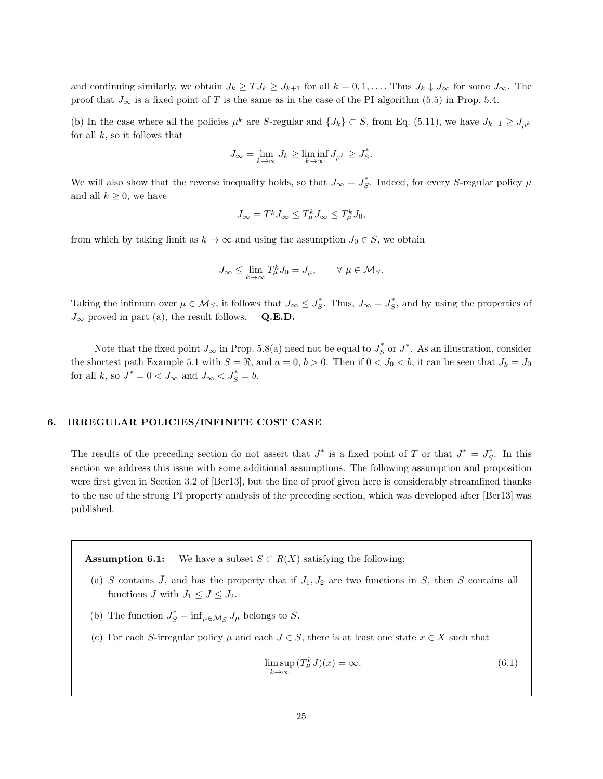and continuing similarly, we obtain  $J_k \geq T J_k \geq J_{k+1}$  for all  $k = 0, 1, \ldots$ . Thus  $J_k \downarrow J_\infty$  for some  $J_\infty$ . The proof that  $J_{\infty}$  is a fixed point of T is the same as in the case of the PI algorithm (5.5) in Prop. 5.4.

(b) In the case where all the policies  $\mu^k$  are S-regular and  $\{J_k\} \subset S$ , from Eq. (5.11), we have  $J_{k+1} \ge J_{\mu^k}$ for all  $k$ , so it follows that

$$
J_{\infty} = \lim_{k \to \infty} J_k \ge \liminf_{k \to \infty} J_{\mu^k} \ge J_S^*.
$$

We will also show that the reverse inequality holds, so that  $J_{\infty} = J_{S}^{*}$ . Indeed, for every S-regular policy  $\mu$ and all  $k \geq 0$ , we have

$$
J_{\infty} = T^k J_{\infty} \le T^k_{\mu} J_{\infty} \le T^k_{\mu} J_0,
$$

from which by taking limit as  $k \to \infty$  and using the assumption  $J_0 \in S$ , we obtain

$$
J_{\infty} \leq \lim_{k \to \infty} T_{\mu}^{k} J_0 = J_{\mu}, \qquad \forall \ \mu \in \mathcal{M}_S.
$$

Taking the infimum over  $\mu \in \mathcal{M}_S$ , it follows that  $J_\infty \leq J_S^*$ . Thus,  $J_\infty = J_S^*$ , and by using the properties of  $J_{\infty}$  proved in part (a), the result follows. Q.E.D.

Note that the fixed point  $J_{\infty}$  in Prop. 5.8(a) need not be equal to  $J_{S}^{*}$  or  $J^{*}$ . As an illustration, consider the shortest path Example 5.1 with  $S = \Re$ , and  $a = 0, b > 0$ . Then if  $0 < J_0 < b$ , it can be seen that  $J_k = J_0$ for all k, so  $J^* = 0 < J_\infty$  and  $J_\infty < J_S^* = b$ .

# 6. IRREGULAR POLICIES/INFINITE COST CASE

The results of the preceding section do not assert that  $J^*$  is a fixed point of T or that  $J^* = J_S^*$ . In this section we address this issue with some additional assumptions. The following assumption and proposition were first given in Section 3.2 of [Ber13], but the line of proof given here is considerably streamlined thanks to the use of the strong PI property analysis of the preceding section, which was developed after [Ber13] was published.

**Assumption 6.1:** We have a subset  $S \subset R(X)$  satisfying the following:

- (a) S contains  $\overline{J}$ , and has the property that if  $J_1, J_2$  are two functions in S, then S contains all functions J with  $J_1 \leq J \leq J_2$ .
- (b) The function  $J_S^* = \inf_{\mu \in \mathcal{M}_S} J_\mu$  belongs to S.
- (c) For each S-irregular policy  $\mu$  and each  $J \in S$ , there is at least one state  $x \in X$  such that

$$
\limsup_{k \to \infty} (T^k_\mu J)(x) = \infty. \tag{6.1}
$$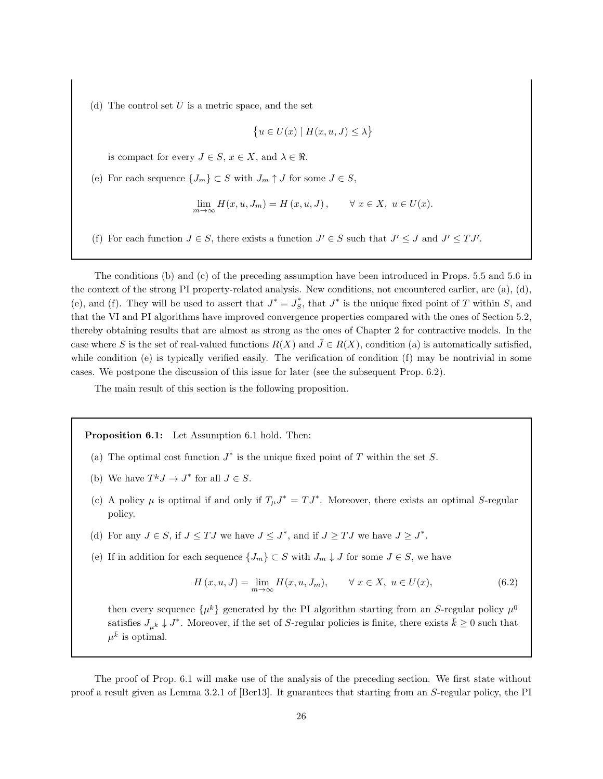(d) The control set  $U$  is a metric space, and the set

$$
\{u \in U(x) \mid H(x, u, J) \le \lambda\}
$$

is compact for every  $J \in S$ ,  $x \in X$ , and  $\lambda \in \Re$ .

(e) For each sequence  $\{J_m\} \subset S$  with  $J_m \uparrow J$  for some  $J \in S$ ,

$$
\lim_{m \to \infty} H(x, u, J_m) = H(x, u, J), \quad \forall x \in X, u \in U(x).
$$

(f) For each function  $J \in S$ , there exists a function  $J' \in S$  such that  $J' \leq J$  and  $J' \leq TJ'$ .

The conditions (b) and (c) of the preceding assumption have been introduced in Props. 5.5 and 5.6 in the context of the strong PI property-related analysis. New conditions, not encountered earlier, are (a), (d), (e), and (f). They will be used to assert that  $J^* = J_S^*$ , that  $J^*$  is the unique fixed point of T within S, and that the VI and PI algorithms have improved convergence properties compared with the ones of Section 5.2, thereby obtaining results that are almost as strong as the ones of Chapter 2 for contractive models. In the case where S is the set of real-valued functions  $R(X)$  and  $\overline{J} \in R(X)$ , condition (a) is automatically satisfied. while condition (e) is typically verified easily. The verification of condition (f) may be nontrivial in some cases. We postpone the discussion of this issue for later (see the subsequent Prop. 6.2).

The main result of this section is the following proposition.

Proposition 6.1: Let Assumption 6.1 hold. Then:

- (a) The optimal cost function  $J^*$  is the unique fixed point of T within the set S.
- (b) We have  $T^k J \to J^*$  for all  $J \in S$ .
- (c) A policy  $\mu$  is optimal if and only if  $T_{\mu}J^* = TJ^*$ . Moreover, there exists an optimal S-regular policy.
- (d) For any  $J \in S$ , if  $J \leq TJ$  we have  $J \leq J^*$ , and if  $J \geq TJ$  we have  $J \geq J^*$ .
- (e) If in addition for each sequence  $\{J_m\} \subset S$  with  $J_m \downarrow J$  for some  $J \in S$ , we have

$$
H(x, u, J) = \lim_{m \to \infty} H(x, u, J_m), \qquad \forall x \in X, u \in U(x),
$$
\n(6.2)

then every sequence  $\{\mu^k\}$  generated by the PI algorithm starting from an S-regular policy  $\mu^0$ satisfies  $J_{\mu^k} \downarrow J^*$ . Moreover, if the set of S-regular policies is finite, there exists  $k \geq 0$  such that  $\mu^{\bar{k}}$  is optimal.

The proof of Prop. 6.1 will make use of the analysis of the preceding section. We first state without proof a result given as Lemma 3.2.1 of [Ber13]. It guarantees that starting from an S-regular policy, the PI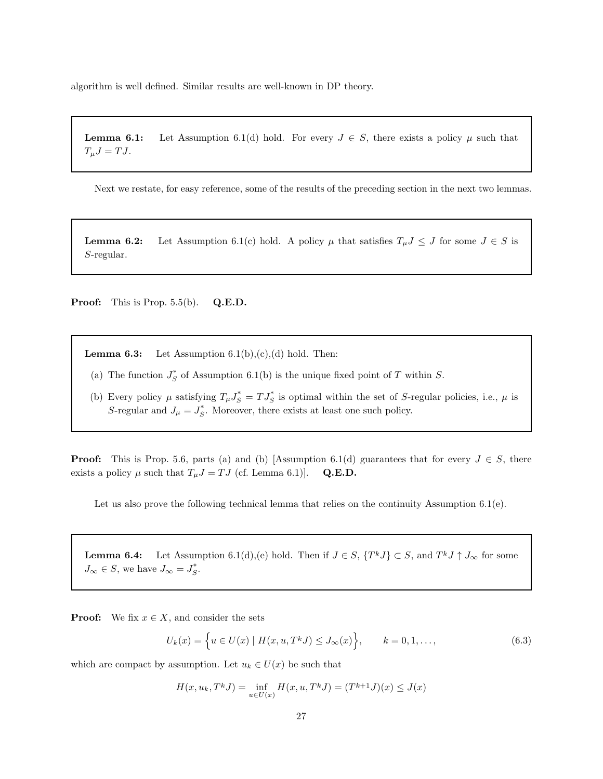algorithm is well defined. Similar results are well-known in DP theory.

**Lemma 6.1:** Let Assumption 6.1(d) hold. For every  $J \in S$ , there exists a policy  $\mu$  such that  $T_{\mu}J = TJ.$ 

Next we restate, for easy reference, some of the results of the preceding section in the next two lemmas.

**Lemma 6.2:** Let Assumption 6.1(c) hold. A policy  $\mu$  that satisfies  $T_{\mu}J \leq J$  for some  $J \in S$  is S-regular.

Proof: This is Prop. 5.5(b). Q.E.D.

**Lemma 6.3:** Let Assumption  $6.1(b),(c),(d)$  hold. Then:

- (a) The function  $J_S^*$  of Assumption 6.1(b) is the unique fixed point of T within S.
- (b) Every policy  $\mu$  satisfying  $T_{\mu}J_{S}^{*}=TJ_{S}^{*}$  is optimal within the set of S-regular policies, i.e.,  $\mu$  is S-regular and  $J_{\mu} = J_{S}^{*}$ . Moreover, there exists at least one such policy.

**Proof:** This is Prop. 5.6, parts (a) and (b) [Assumption 6.1(d) guarantees that for every  $J \in S$ , there exists a policy  $\mu$  such that  $T_{\mu}J = TJ$  (cf. Lemma 6.1)]. Q.E.D.

Let us also prove the following technical lemma that relies on the continuity Assumption 6.1(e).

**Lemma 6.4:** Let Assumption 6.1(d),(e) hold. Then if  $J \in S$ ,  $\{T^k J\} \subset S$ , and  $T^k J \uparrow J_{\infty}$  for some  $J_{\infty} \in S$ , we have  $J_{\infty} = J_{S}^{*}$ .

**Proof:** We fix  $x \in X$ , and consider the sets

$$
U_k(x) = \left\{ u \in U(x) \mid H(x, u, T^k J) \le J_\infty(x) \right\}, \qquad k = 0, 1, \dots,
$$
\n(6.3)

which are compact by assumption. Let  $u_k \in U(x)$  be such that

$$
H(x, u_k, T^k J) = \inf_{u \in U(x)} H(x, u, T^k J) = (T^{k+1} J)(x) \le J(x)
$$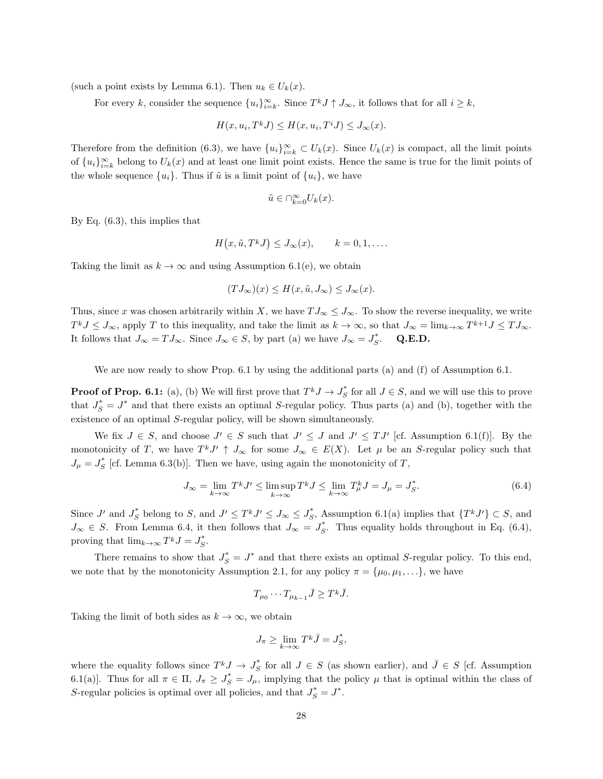(such a point exists by Lemma 6.1). Then  $u_k \in U_k(x)$ .

For every k, consider the sequence  $\{u_i\}_{i=k}^{\infty}$ . Since  $T^k J \uparrow J_{\infty}$ , it follows that for all  $i \geq k$ ,

$$
H(x, u_i, T^k J) \le H(x, u_i, T^i J) \le J_{\infty}(x).
$$

Therefore from the definition (6.3), we have  ${u_i}_{i=k}^{\infty} \subset U_k(x)$ . Since  $U_k(x)$  is compact, all the limit points of  ${u_i}_{i=k}^{\infty}$  belong to  $U_k(x)$  and at least one limit point exists. Hence the same is true for the limit points of the whole sequence  $\{u_i\}$ . Thus if  $\tilde{u}$  is a limit point of  $\{u_i\}$ , we have

$$
\tilde{u}\in \cap_{k=0}^{\infty}U_k(x).
$$

By Eq. (6.3), this implies that

$$
H(x, \tilde{u}, T^k J) \leq J_{\infty}(x), \qquad k = 0, 1, \dots.
$$

Taking the limit as  $k \to \infty$  and using Assumption 6.1(e), we obtain

$$
(TJ_{\infty})(x) \le H(x, \tilde{u}, J_{\infty}) \le J_{\infty}(x).
$$

Thus, since x was chosen arbitrarily within X, we have  $T J_{\infty} \leq J_{\infty}$ . To show the reverse inequality, we write  $T^k J \leq J_\infty$ , apply T to this inequality, and take the limit as  $k \to \infty$ , so that  $J_\infty = \lim_{k \to \infty} T^{k+1} J \leq T J_\infty$ . It follows that  $J_{\infty} = T J_{\infty}$ . Since  $J_{\infty} \in S$ , by part (a) we have  $J_{\infty} = J_{S}^{*}$ . Q.E.D.

We are now ready to show Prop. 6.1 by using the additional parts (a) and (f) of Assumption 6.1.

**Proof of Prop. 6.1:** (a), (b) We will first prove that  $T^k J \to J_S^*$  for all  $J \in S$ , and we will use this to prove that  $J_S^* = J^*$  and that there exists an optimal S-regular policy. Thus parts (a) and (b), together with the existence of an optimal S-regular policy, will be shown simultaneously.

We fix  $J \in S$ , and choose  $J' \in S$  such that  $J' \leq J$  and  $J' \leq TJ'$  [cf. Assumption 6.1(f)]. By the monotonicity of T, we have  $T^kJ' \uparrow J_{\infty}$  for some  $J_{\infty} \in E(X)$ . Let  $\mu$  be an S-regular policy such that  $J_{\mu} = J_{S}^{*}$  [cf. Lemma 6.3(b)]. Then we have, using again the monotonicity of T,

$$
J_{\infty} = \lim_{k \to \infty} T^k J' \le \limsup_{k \to \infty} T^k J \le \lim_{k \to \infty} T^k \mathcal{J} = J_{\mu} = J_S^*.
$$
 (6.4)

Since J' and  $J_S^*$  belong to S, and  $J' \leq T^k J' \leq J_\infty \leq J_S^*$ , Assumption 6.1(a) implies that  $\{T^k J'\} \subset S$ , and  $J_{\infty} \in S$ . From Lemma 6.4, it then follows that  $J_{\infty} = J_{S}^{*}$ . Thus equality holds throughout in Eq. (6.4), proving that  $\lim_{k\to\infty} T^k J = J_S^*$ .

There remains to show that  $J_S^* = J^*$  and that there exists an optimal S-regular policy. To this end, we note that by the monotonicity Assumption 2.1, for any policy  $\pi = {\mu_0, \mu_1, \ldots}$ , we have

$$
T_{\mu_0}\cdots T_{\mu_{k-1}}\bar J\geq T^k\bar J.
$$

Taking the limit of both sides as  $k \to \infty$ , we obtain

$$
J_{\pi} \ge \lim_{k \to \infty} T^k \bar{J} = J_S^*,
$$

where the equality follows since  $T^kJ \to J_S^*$  for all  $J \in S$  (as shown earlier), and  $\overline{J} \in S$  [cf. Assumption 6.1(a)]. Thus for all  $\pi \in \Pi$ ,  $J_{\pi} \geq J_{S}^{*} = J_{\mu}$ , implying that the policy  $\mu$  that is optimal within the class of S-regular policies is optimal over all policies, and that  $J_S^* = J^*$ .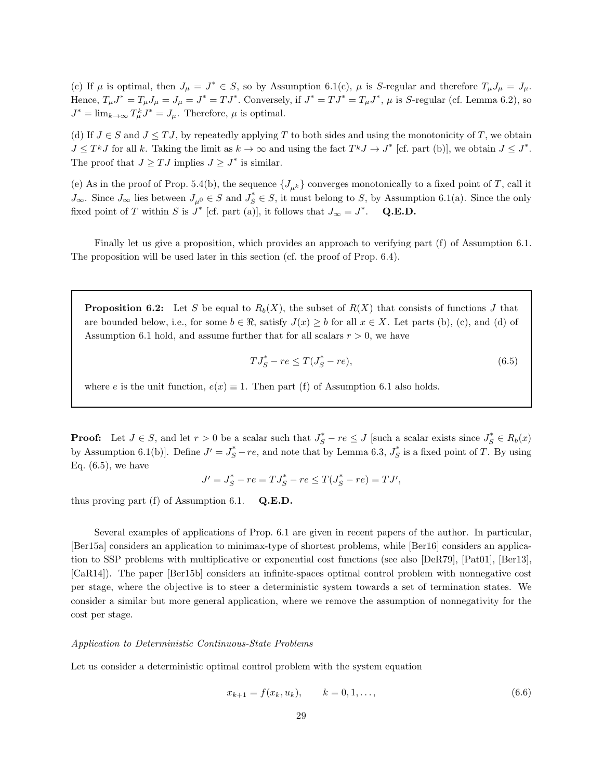(c) If  $\mu$  is optimal, then  $J_{\mu} = J^* \in S$ , so by Assumption 6.1(c),  $\mu$  is S-regular and therefore  $T_{\mu}J_{\mu} = J_{\mu}$ . Hence,  $T_{\mu}J^* = T_{\mu}J_{\mu} = J_{\mu} = J^* = TJ^*$ . Conversely, if  $J^* = TJ^* = T_{\mu}J^*$ ,  $\mu$  is S-regular (cf. Lemma 6.2), so  $J^* = \lim_{k \to \infty} T^k_\mu J^* = J_\mu$ . Therefore,  $\mu$  is optimal.

(d) If  $J \in S$  and  $J \leq TJ$ , by repeatedly applying T to both sides and using the monotonicity of T, we obtain  $J \leq T^k J$  for all k. Taking the limit as  $k \to \infty$  and using the fact  $T^k J \to J^*$  [cf. part (b)], we obtain  $J \leq J^*$ . The proof that  $J \geq TJ$  implies  $J \geq J^*$  is similar.

(e) As in the proof of Prop. 5.4(b), the sequence  ${J_{\mu k}}$  converges monotonically to a fixed point of T, call it  $J_{\infty}$ . Since  $J_{\infty}$  lies between  $J_{\mu^0} \in S$  and  $J_{S}^* \in S$ , it must belong to S, by Assumption 6.1(a). Since the only fixed point of T within S is  $J^*$  [cf. part (a)], it follows that  $J_{\infty} = J^*$ . Q.E.D.

Finally let us give a proposition, which provides an approach to verifying part (f) of Assumption 6.1. The proposition will be used later in this section (cf. the proof of Prop. 6.4).

**Proposition 6.2:** Let S be equal to  $R_b(X)$ , the subset of  $R(X)$  that consists of functions J that are bounded below, i.e., for some  $b \in \mathcal{R}$ , satisfy  $J(x) \geq b$  for all  $x \in X$ . Let parts (b), (c), and (d) of Assumption 6.1 hold, and assume further that for all scalars  $r > 0$ , we have

$$
TJ_S^* - re \le T(J_S^* - re),\tag{6.5}
$$

where e is the unit function,  $e(x) \equiv 1$ . Then part (f) of Assumption 6.1 also holds.

**Proof:** Let  $J \in S$ , and let  $r > 0$  be a scalar such that  $J_S^* - re \leq J$  [such a scalar exists since  $J_S^* \in R_b(x)$ by Assumption 6.1(b)]. Define  $J' = J_S^* - re$ , and note that by Lemma 6.3,  $J_S^*$  is a fixed point of T. By using Eq.  $(6.5)$ , we have

$$
J' = J_S^* - re = TJ_S^* - re \le T(J_S^* - re) = TJ',
$$

thus proving part  $(f)$  of Assumption 6.1. Q.E.D.

Several examples of applications of Prop. 6.1 are given in recent papers of the author. In particular, [Ber15a] considers an application to minimax-type of shortest problems, while [Ber16] considers an application to SSP problems with multiplicative or exponential cost functions (see also [DeR79], [Pat01], [Ber13], [CaR14]). The paper [Ber15b] considers an infinite-spaces optimal control problem with nonnegative cost per stage, where the objective is to steer a deterministic system towards a set of termination states. We consider a similar but more general application, where we remove the assumption of nonnegativity for the cost per stage.

#### Application to Deterministic Continuous-State Problems

Let us consider a deterministic optimal control problem with the system equation

$$
x_{k+1} = f(x_k, u_k), \qquad k = 0, 1, \dots,
$$
\n(6.6)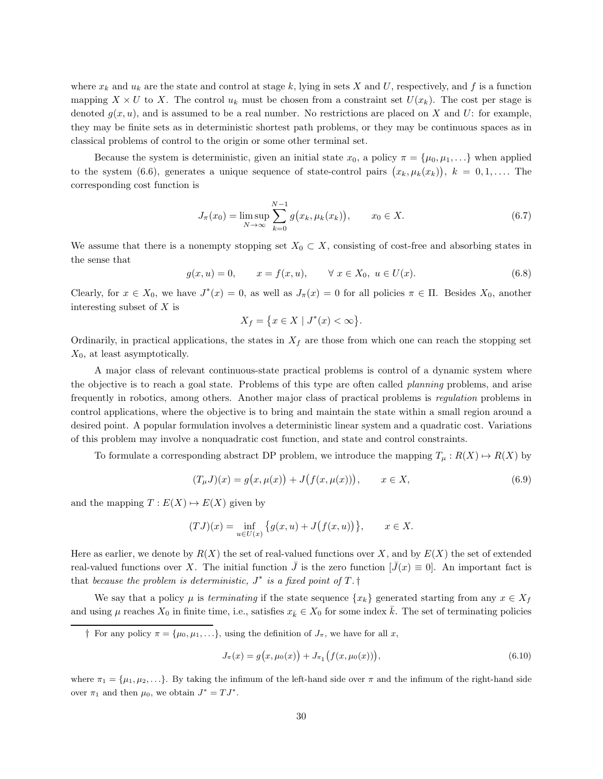where  $x_k$  and  $u_k$  are the state and control at stage k, lying in sets X and U, respectively, and f is a function mapping  $X \times U$  to X. The control  $u_k$  must be chosen from a constraint set  $U(x_k)$ . The cost per stage is denoted  $g(x, u)$ , and is assumed to be a real number. No restrictions are placed on X and U: for example, they may be finite sets as in deterministic shortest path problems, or they may be continuous spaces as in classical problems of control to the origin or some other terminal set.

Because the system is deterministic, given an initial state  $x_0$ , a policy  $\pi = {\mu_0, \mu_1, \ldots}$  when applied to the system (6.6), generates a unique sequence of state-control pairs  $(x_k, \mu_k(x_k))$ ,  $k = 0, 1, \ldots$  The corresponding cost function is

$$
J_{\pi}(x_0) = \limsup_{N \to \infty} \sum_{k=0}^{N-1} g(x_k, \mu_k(x_k)), \qquad x_0 \in X.
$$
 (6.7)

We assume that there is a nonempty stopping set  $X_0 \subset X$ , consisting of cost-free and absorbing states in the sense that

$$
g(x, u) = 0, \qquad x = f(x, u), \qquad \forall \ x \in X_0, \ u \in U(x). \tag{6.8}
$$

Clearly, for  $x \in X_0$ , we have  $J^*(x) = 0$ , as well as  $J_\pi(x) = 0$  for all policies  $\pi \in \Pi$ . Besides  $X_0$ , another interesting subset of X is

$$
X_f = \{ x \in X \mid J^*(x) < \infty \}.
$$

Ordinarily, in practical applications, the states in  $X_f$  are those from which one can reach the stopping set  $X_0$ , at least asymptotically.

A major class of relevant continuous-state practical problems is control of a dynamic system where the objective is to reach a goal state. Problems of this type are often called planning problems, and arise frequently in robotics, among others. Another major class of practical problems is regulation problems in control applications, where the objective is to bring and maintain the state within a small region around a desired point. A popular formulation involves a deterministic linear system and a quadratic cost. Variations of this problem may involve a nonquadratic cost function, and state and control constraints.

To formulate a corresponding abstract DP problem, we introduce the mapping  $T_{\mu}: R(X) \mapsto R(X)$  by

$$
(T_{\mu}J)(x) = g(x, \mu(x)) + J(f(x, \mu(x))), \qquad x \in X,
$$
\n(6.9)

and the mapping  $T : E(X) \mapsto E(X)$  given by

$$
(TJ)(x) = \inf_{u \in U(x)} \{ g(x, u) + J(f(x, u)) \}, \qquad x \in X.
$$

Here as earlier, we denote by  $R(X)$  the set of real-valued functions over X, and by  $E(X)$  the set of extended real-valued functions over X. The initial function  $\bar{J}$  is the zero function  $[\bar{J}(x)] = 0$ . An important fact is that because the problem is deterministic,  $J^*$  is a fixed point of  $T$ .

We say that a policy  $\mu$  is terminating if the state sequence  $\{x_k\}$  generated starting from any  $x \in X_f$ and using  $\mu$  reaches  $X_0$  in finite time, i.e., satisfies  $x_k \in X_0$  for some index  $\bar{k}$ . The set of terminating policies

<sup>†</sup> For any policy  $\pi = {\mu_0, \mu_1, \ldots}$ , using the definition of  $J_{\pi}$ , we have for all x,

$$
J_{\pi}(x) = g(x, \mu_0(x)) + J_{\pi_1}(f(x, \mu_0(x))), \qquad (6.10)
$$

where  $\pi_1 = {\mu_1, \mu_2, \ldots}$ . By taking the infimum of the left-hand side over  $\pi$  and the infimum of the right-hand side over  $\pi_1$  and then  $\mu_0$ , we obtain  $J^* = T J^*$ .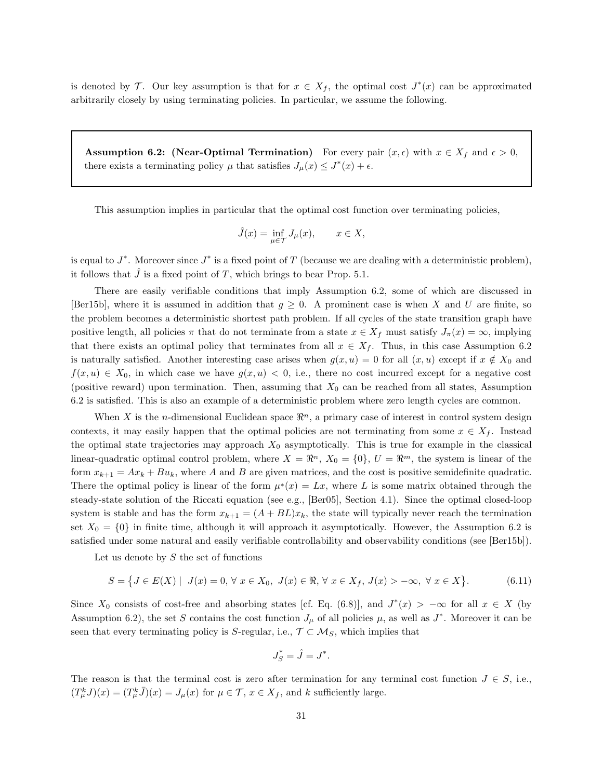is denoted by T. Our key assumption is that for  $x \in X_f$ , the optimal cost  $J^*(x)$  can be approximated arbitrarily closely by using terminating policies. In particular, we assume the following.

**Assumption 6.2:** (Near-Optimal Termination) For every pair  $(x, \epsilon)$  with  $x \in X_f$  and  $\epsilon > 0$ , there exists a terminating policy  $\mu$  that satisfies  $J_{\mu}(x) \leq J^*(x) + \epsilon$ .

This assumption implies in particular that the optimal cost function over terminating policies,

$$
\hat{J}(x) = \inf_{\mu \in \mathcal{T}} J_{\mu}(x), \qquad x \in X,
$$

is equal to  $J^*$ . Moreover since  $J^*$  is a fixed point of T (because we are dealing with a deterministic problem), it follows that  $\hat{J}$  is a fixed point of T, which brings to bear Prop. 5.1.

There are easily verifiable conditions that imply Assumption 6.2, some of which are discussed in [Ber15b], where it is assumed in addition that  $g \geq 0$ . A prominent case is when X and U are finite, so the problem becomes a deterministic shortest path problem. If all cycles of the state transition graph have positive length, all policies  $\pi$  that do not terminate from a state  $x \in X_f$  must satisfy  $J_\pi(x) = \infty$ , implying that there exists an optimal policy that terminates from all  $x \in X_f$ . Thus, in this case Assumption 6.2 is naturally satisfied. Another interesting case arises when  $g(x, u) = 0$  for all  $(x, u)$  except if  $x \notin X_0$  and  $f(x, u) \in X_0$ , in which case we have  $g(x, u) < 0$ , i.e., there no cost incurred except for a negative cost (positive reward) upon termination. Then, assuming that  $X_0$  can be reached from all states, Assumption 6.2 is satisfied. This is also an example of a deterministic problem where zero length cycles are common.

When X is the n-dimensional Euclidean space  $\mathbb{R}^n$ , a primary case of interest in control system design contexts, it may easily happen that the optimal policies are not terminating from some  $x \in X_f$ . Instead the optimal state trajectories may approach  $X_0$  asymptotically. This is true for example in the classical linear-quadratic optimal control problem, where  $X = \mathbb{R}^n$ ,  $X_0 = \{0\}$ ,  $U = \mathbb{R}^m$ , the system is linear of the form  $x_{k+1} = Ax_k + Bu_k$ , where A and B are given matrices, and the cost is positive semidefinite quadratic. There the optimal policy is linear of the form  $\mu^*(x) = Lx$ , where L is some matrix obtained through the steady-state solution of the Riccati equation (see e.g., [Ber05], Section 4.1). Since the optimal closed-loop system is stable and has the form  $x_{k+1} = (A + BL)x_k$ , the state will typically never reach the termination set  $X_0 = \{0\}$  in finite time, although it will approach it asymptotically. However, the Assumption 6.2 is satisfied under some natural and easily verifiable controllability and observability conditions (see [Ber15b]).

Let us denote by  $S$  the set of functions

$$
S = \{ J \in E(X) \mid J(x) = 0, \forall x \in X_0, J(x) \in \mathbb{R}, \forall x \in X_f, J(x) > -\infty, \forall x \in X \}. \tag{6.11}
$$

Since  $X_0$  consists of cost-free and absorbing states [cf. Eq. (6.8)], and  $J^*(x) > -\infty$  for all  $x \in X$  (by Assumption 6.2), the set S contains the cost function  $J_\mu$  of all policies  $\mu$ , as well as  $J^*$ . Moreover it can be seen that every terminating policy is S-regular, i.e.,  $\mathcal{T} \subset \mathcal{M}_S$ , which implies that

$$
J_S^* = \hat{J} = J^*.
$$

The reason is that the terminal cost is zero after termination for any terminal cost function  $J \in S$ , i.e.,  $(T^k_\mu J)(x) = (T^k_\mu \bar{J})(x) = J_\mu(x)$  for  $\mu \in \mathcal{T}, x \in X_f$ , and k sufficiently large.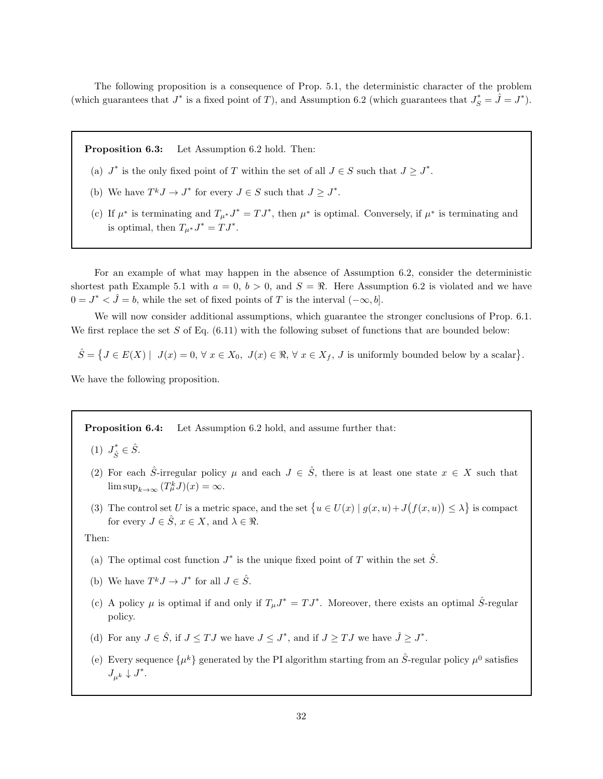The following proposition is a consequence of Prop. 5.1, the deterministic character of the problem (which guarantees that  $J^*$  is a fixed point of T), and Assumption 6.2 (which guarantees that  $J_S^* = \hat{J} = J^*$ ).

**Proposition 6.3:** Let Assumption 6.2 hold. Then:

- (a)  $J^*$  is the only fixed point of T within the set of all  $J \in S$  such that  $J \geq J^*$ .
- (b) We have  $T^k J \to J^*$  for every  $J \in S$  such that  $J \geq J^*$ .
- (c) If  $\mu^*$  is terminating and  $T_{\mu^*} J^* = T J^*$ , then  $\mu^*$  is optimal. Conversely, if  $\mu^*$  is terminating and is optimal, then  $T_{\mu^*} J^* = T J^*$ .

For an example of what may happen in the absence of Assumption 6.2, consider the deterministic shortest path Example 5.1 with  $a = 0, b > 0$ , and  $S = \Re$ . Here Assumption 6.2 is violated and we have  $0 = J^* < \hat{J} = b$ , while the set of fixed points of T is the interval  $(-\infty, b]$ .

We will now consider additional assumptions, which guarantee the stronger conclusions of Prop. 6.1. We first replace the set S of Eq.  $(6.11)$  with the following subset of functions that are bounded below:

 $\hat{S} = \{ J \in E(X) \mid J(x) = 0, \forall x \in X_0, J(x) \in \Re, \forall x \in X_f, J \text{ is uniformly bounded below by a scalar} \}.$ 

We have the following proposition.

**Proposition 6.4:** Let Assumption 6.2 hold, and assume further that:

(1)  $J_{\hat{S}}^* \in \hat{S}$ .

- (2) For each  $\hat{S}$ -irregular policy  $\mu$  and each  $J \in \hat{S}$ , there is at least one state  $x \in X$  such that  $\limsup_{k\to\infty} (T^k_\mu J)(x) = \infty.$
- (3) The control set U is a metric space, and the set  $\{u \in U(x) \mid g(x, u) + J(f(x, u)) \leq \lambda\}$  is compact for every  $J \in \hat{S}$ ,  $x \in X$ , and  $\lambda \in \Re$ .

Then:

- (a) The optimal cost function  $J^*$  is the unique fixed point of T within the set  $\hat{S}$ .
- (b) We have  $T^k J \to J^*$  for all  $J \in \hat{S}$ .
- (c) A policy  $\mu$  is optimal if and only if  $T_{\mu}J^* = TJ^*$ . Moreover, there exists an optimal  $\hat{S}$ -regular policy.
- (d) For any  $J \in \hat{S}$ , if  $J \leq TJ$  we have  $J \leq J^*$ , and if  $J \geq TJ$  we have  $\hat{J} \geq J^*$ .
- (e) Every sequence  $\{\mu^k\}$  generated by the PI algorithm starting from an  $\hat{S}$ -regular policy  $\mu^0$  satisfies  $J_{\mu^k} \downarrow J^*$ .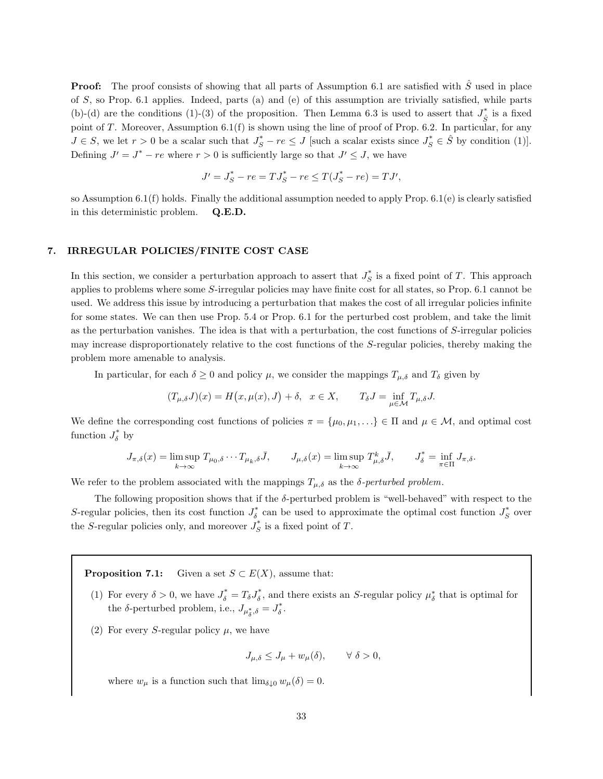**Proof:** The proof consists of showing that all parts of Assumption 6.1 are satisfied with  $\hat{S}$  used in place of S, so Prop. 6.1 applies. Indeed, parts (a) and (e) of this assumption are trivially satisfied, while parts (b)-(d) are the conditions (1)-(3) of the proposition. Then Lemma 6.3 is used to assert that  $J_{\hat{S}}^*$  is a fixed point of T. Moreover, Assumption  $6.1(f)$  is shown using the line of proof of Prop. 6.2. In particular, for any  $J \in S$ , we let  $r > 0$  be a scalar such that  $J_S^* - re \leq J$  [such a scalar exists since  $J_S^* \in \hat{S}$  by condition (1)]. Defining  $J' = J^* - re$  where  $r > 0$  is sufficiently large so that  $J' \leq J$ , we have

$$
J' = J_S^* - re = TJ_S^* - re \le T(J_S^* - re) = TJ',
$$

so Assumption 6.1(f) holds. Finally the additional assumption needed to apply Prop.  $6.1(e)$  is clearly satisfied in this deterministic problem. Q.E.D.

#### 7. IRREGULAR POLICIES/FINITE COST CASE

In this section, we consider a perturbation approach to assert that  $J_S^*$  is a fixed point of T. This approach applies to problems where some S-irregular policies may have finite cost for all states, so Prop. 6.1 cannot be used. We address this issue by introducing a perturbation that makes the cost of all irregular policies infinite for some states. We can then use Prop. 5.4 or Prop. 6.1 for the perturbed cost problem, and take the limit as the perturbation vanishes. The idea is that with a perturbation, the cost functions of S-irregular policies may increase disproportionately relative to the cost functions of the S-regular policies, thereby making the problem more amenable to analysis.

In particular, for each  $\delta \geq 0$  and policy  $\mu$ , we consider the mappings  $T_{\mu,\delta}$  and  $T_{\delta}$  given by

$$
(T_{\mu,\delta}J)(x) = H(x,\mu(x),J) + \delta, \quad x \in X, \qquad T_{\delta}J = \inf_{\mu \in \mathcal{M}} T_{\mu,\delta}J.
$$

We define the corresponding cost functions of policies  $\pi = {\mu_0, \mu_1, \ldots} \in \Pi$  and  $\mu \in \mathcal{M}$ , and optimal cost function  $J_{\delta}^*$  by

$$
J_{\pi,\delta}(x) = \limsup_{k \to \infty} T_{\mu_0,\delta} \cdots T_{\mu_k,\delta} \bar{J}, \qquad J_{\mu,\delta}(x) = \limsup_{k \to \infty} T_{\mu,\delta}^k \bar{J}, \qquad J_{\delta}^* = \inf_{\pi \in \Pi} J_{\pi,\delta}.
$$

We refer to the problem associated with the mappings  $T_{\mu,\delta}$  as the  $\delta$ -perturbed problem.

The following proposition shows that if the  $\delta$ -perturbed problem is "well-behaved" with respect to the S-regular policies, then its cost function  $J_{\delta}^*$  can be used to approximate the optimal cost function  $J_S^*$  over the S-regular policies only, and moreover  $J_S^*$  is a fixed point of T.

**Proposition 7.1:** Given a set  $S \subset E(X)$ , assume that:

- (1) For every  $\delta > 0$ , we have  $J_{\delta}^* = T_{\delta} J_{\delta}^*$ , and there exists an S-regular policy  $\mu_{\delta}^*$  that is optimal for the  $\delta$ -perturbed problem, i.e.,  $J_{\mu^*_{\delta}, \delta} = J_{\delta}^*$ .
- (2) For every S-regular policy  $\mu$ , we have

$$
J_{\mu,\delta} \le J_{\mu} + w_{\mu}(\delta), \qquad \forall \ \delta > 0,
$$

where  $w_{\mu}$  is a function such that  $\lim_{\delta \downarrow 0} w_{\mu}(\delta) = 0$ .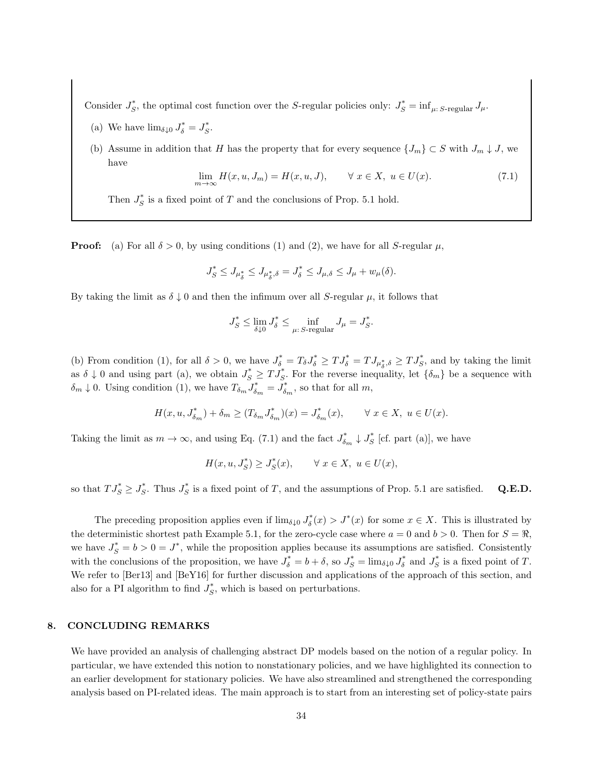Consider  $J_S^*$ , the optimal cost function over the S-regular policies only:  $J_S^* = \inf_{\mu: S\text{-regular}} J_{\mu}$ .

- (a) We have  $\lim_{\delta \downarrow 0} J_{\delta}^* = J_S^*$ .
- (b) Assume in addition that H has the property that for every sequence  $\{J_m\} \subset S$  with  $J_m \downarrow J$ , we have

$$
\lim_{m \to \infty} H(x, u, J_m) = H(x, u, J), \qquad \forall x \in X, u \in U(x).
$$
\n(7.1)

Then  $J_S^*$  is a fixed point of T and the conclusions of Prop. 5.1 hold.

**Proof:** (a) For all  $\delta > 0$ , by using conditions (1) and (2), we have for all S-regular  $\mu$ ,

$$
J_S^* \leq J_{\mu_\delta^*} \leq J_{\mu_\delta^*,\delta} = J_\delta^* \leq J_{\mu,\delta} \leq J_{\mu} + w_{\mu}(\delta).
$$

By taking the limit as  $\delta \downarrow 0$  and then the infimum over all S-regular  $\mu$ , it follows that

$$
J_S^* \le \lim_{\delta \downarrow 0} J_\delta^* \le \inf_{\mu: S\text{-regular}} J_\mu = J_S^*.
$$

(b) From condition (1), for all  $\delta > 0$ , we have  $J_{\delta}^* = T_{\delta} J_{\delta}^* \geq T J_{\delta}^* = T J_{\mu_{\delta}^*,\delta} \geq T J_{S}^*$ , and by taking the limit as  $\delta \downarrow 0$  and using part (a), we obtain  $J_S^* \geq T J_S^*$ . For the reverse inequality, let  $\{\delta_m\}$  be a sequence with  $\delta_m \downarrow 0$ . Using condition (1), we have  $T_{\delta_m} J^*_{\delta_m} = J^*_{\delta_m}$ , so that for all m,

$$
H(x, u, J_{\delta_m}^*) + \delta_m \ge (T_{\delta_m} J_{\delta_m}^*)(x) = J_{\delta_m}^*(x), \qquad \forall x \in X, \ u \in U(x).
$$

Taking the limit as  $m \to \infty$ , and using Eq. (7.1) and the fact  $J_{\delta_m}^* \downarrow J_S^*$  [cf. part (a)], we have

$$
H(x, u, J_S^*) \ge J_S^*(x), \qquad \forall x \in X, u \in U(x),
$$

so that  $T J_S^* \geq J_S^*$ . Thus  $J_S^*$  is a fixed point of T, and the assumptions of Prop. 5.1 are satisfied. Q.E.D.

The preceding proposition applies even if  $\lim_{\delta\downarrow 0} J^*_\delta(x) > J^*(x)$  for some  $x \in X$ . This is illustrated by the deterministic shortest path Example 5.1, for the zero-cycle case where  $a = 0$  and  $b > 0$ . Then for  $S = \Re$ , we have  $J_S^* = b > 0 = J^*$ , while the proposition applies because its assumptions are satisfied. Consistently with the conclusions of the proposition, we have  $J_{\delta}^* = b + \delta$ , so  $J_S^* = \lim_{\delta \downarrow 0} J_{\delta}^*$  and  $J_S^*$  is a fixed point of T. We refer to [Ber13] and [BeY16] for further discussion and applications of the approach of this section, and also for a PI algorithm to find  $J_S^*$ , which is based on perturbations.

#### 8. CONCLUDING REMARKS

We have provided an analysis of challenging abstract DP models based on the notion of a regular policy. In particular, we have extended this notion to nonstationary policies, and we have highlighted its connection to an earlier development for stationary policies. We have also streamlined and strengthened the corresponding analysis based on PI-related ideas. The main approach is to start from an interesting set of policy-state pairs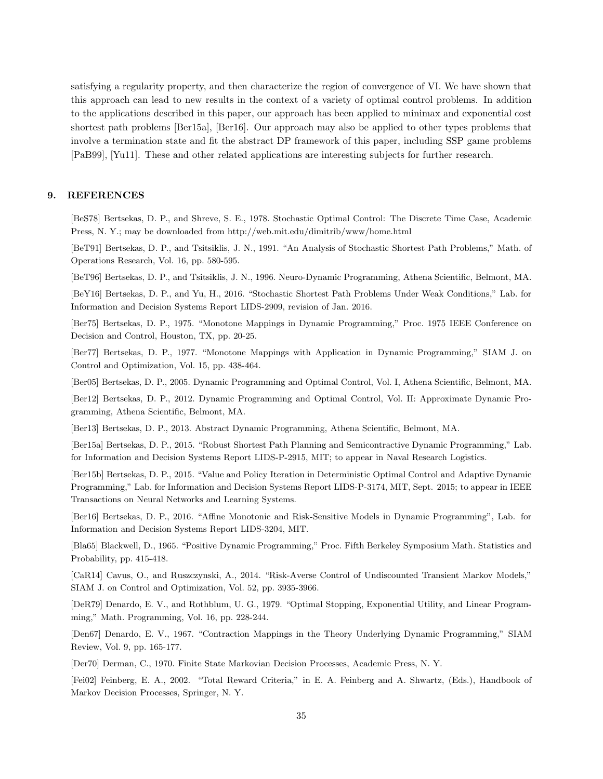satisfying a regularity property, and then characterize the region of convergence of VI. We have shown that this approach can lead to new results in the context of a variety of optimal control problems. In addition to the applications described in this paper, our approach has been applied to minimax and exponential cost shortest path problems [Ber15a], [Ber16]. Our approach may also be applied to other types problems that involve a termination state and fit the abstract DP framework of this paper, including SSP game problems [PaB99], [Yu11]. These and other related applications are interesting subjects for further research.

### 9. REFERENCES

[BeS78] Bertsekas, D. P., and Shreve, S. E., 1978. Stochastic Optimal Control: The Discrete Time Case, Academic Press, N. Y.; may be downloaded from http://web.mit.edu/dimitrib/www/home.html

[BeT91] Bertsekas, D. P., and Tsitsiklis, J. N., 1991. "An Analysis of Stochastic Shortest Path Problems," Math. of Operations Research, Vol. 16, pp. 580-595.

[BeT96] Bertsekas, D. P., and Tsitsiklis, J. N., 1996. Neuro-Dynamic Programming, Athena Scientific, Belmont, MA.

[BeY16] Bertsekas, D. P., and Yu, H., 2016. "Stochastic Shortest Path Problems Under Weak Conditions," Lab. for Information and Decision Systems Report LIDS-2909, revision of Jan. 2016.

[Ber75] Bertsekas, D. P., 1975. "Monotone Mappings in Dynamic Programming," Proc. 1975 IEEE Conference on Decision and Control, Houston, TX, pp. 20-25.

[Ber77] Bertsekas, D. P., 1977. "Monotone Mappings with Application in Dynamic Programming," SIAM J. on Control and Optimization, Vol. 15, pp. 438-464.

[Ber05] Bertsekas, D. P., 2005. Dynamic Programming and Optimal Control, Vol. I, Athena Scientific, Belmont, MA.

[Ber12] Bertsekas, D. P., 2012. Dynamic Programming and Optimal Control, Vol. II: Approximate Dynamic Programming, Athena Scientific, Belmont, MA.

[Ber13] Bertsekas, D. P., 2013. Abstract Dynamic Programming, Athena Scientific, Belmont, MA.

[Ber15a] Bertsekas, D. P., 2015. "Robust Shortest Path Planning and Semicontractive Dynamic Programming," Lab. for Information and Decision Systems Report LIDS-P-2915, MIT; to appear in Naval Research Logistics.

[Ber15b] Bertsekas, D. P., 2015. "Value and Policy Iteration in Deterministic Optimal Control and Adaptive Dynamic Programming," Lab. for Information and Decision Systems Report LIDS-P-3174, MIT, Sept. 2015; to appear in IEEE Transactions on Neural Networks and Learning Systems.

[Ber16] Bertsekas, D. P., 2016. "Affine Monotonic and Risk-Sensitive Models in Dynamic Programming", Lab. for Information and Decision Systems Report LIDS-3204, MIT.

[Bla65] Blackwell, D., 1965. "Positive Dynamic Programming," Proc. Fifth Berkeley Symposium Math. Statistics and Probability, pp. 415-418.

[CaR14] Cavus, O., and Ruszczynski, A., 2014. "Risk-Averse Control of Undiscounted Transient Markov Models," SIAM J. on Control and Optimization, Vol. 52, pp. 3935-3966.

[DeR79] Denardo, E. V., and Rothblum, U. G., 1979. "Optimal Stopping, Exponential Utility, and Linear Programming," Math. Programming, Vol. 16, pp. 228-244.

[Den67] Denardo, E. V., 1967. "Contraction Mappings in the Theory Underlying Dynamic Programming," SIAM Review, Vol. 9, pp. 165-177.

[Der70] Derman, C., 1970. Finite State Markovian Decision Processes, Academic Press, N. Y.

[Fei02] Feinberg, E. A., 2002. "Total Reward Criteria," in E. A. Feinberg and A. Shwartz, (Eds.), Handbook of Markov Decision Processes, Springer, N. Y.